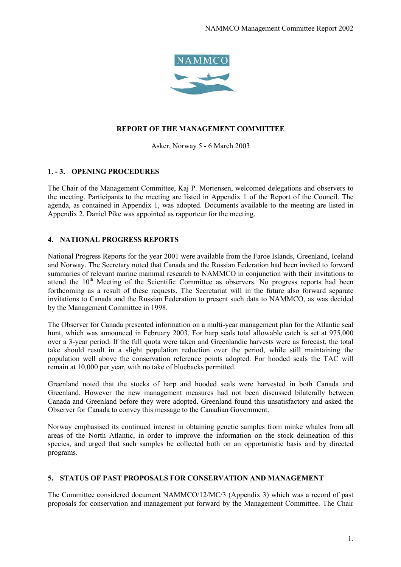

#### **REPORT OF THE MANAGEMENT COMMITTEE**

Asker, Norway 5 - 6 March 2003

#### **1. - 3. OPENING PROCEDURES**

The Chair of the Management Committee, Kaj P. Mortensen, welcomed delegations and observers to the meeting. Participants to the meeting are listed in Appendix 1 of the Report of the Council. The agenda, as contained in Appendix 1, was adopted. Documents available to the meeting are listed in Appendix 2. Daniel Pike was appointed as rapporteur for the meeting.

## **4. NATIONAL PROGRESS REPORTS**

National Progress Reports for the year 2001 were available from the Faroe Islands, Greenland, Iceland and Norway. The Secretary noted that Canada and the Russian Federation had been invited to forward summaries of relevant marine mammal research to NAMMCO in conjunction with their invitations to attend the  $10<sup>th</sup>$  Meeting of the Scientific Committee as observers. No progress reports had been forthcoming as a result of these requests. The Secretariat will in the future also forward separate invitations to Canada and the Russian Federation to present such data to NAMMCO, as was decided by the Management Committee in 1998.

The Observer for Canada presented information on a multi-year management plan for the Atlantic seal hunt, which was announced in February 2003. For harp seals total allowable catch is set at 975,000 over a 3-year period. If the full quota were taken and Greenlandic harvests were as forecast, the total take should result in a slight population reduction over the period, while still maintaining the population well above the conservation reference points adopted. For hooded seals the TAC will remain at 10,000 per year, with no take of bluebacks permitted.

Greenland noted that the stocks of harp and hooded seals were harvested in both Canada and Greenland. However the new management measures had not been discussed bilaterally between Canada and Greenland before they were adopted. Greenland found this unsatisfactory and asked the Observer for Canada to convey this message to the Canadian Government.

Norway emphasised its continued interest in obtaining genetic samples from minke whales from all areas of the North Atlantic, in order to improve the information on the stock delineation of this species, and urged that such samples be collected both on an opportunistic basis and by directed programs.

## **5. STATUS OF PAST PROPOSALS FOR CONSERVATION AND MANAGEMENT**

The Committee considered document NAMMCO/12/MC/3 (Appendix 3) which was a record of past proposals for conservation and management put forward by the Management Committee. The Chair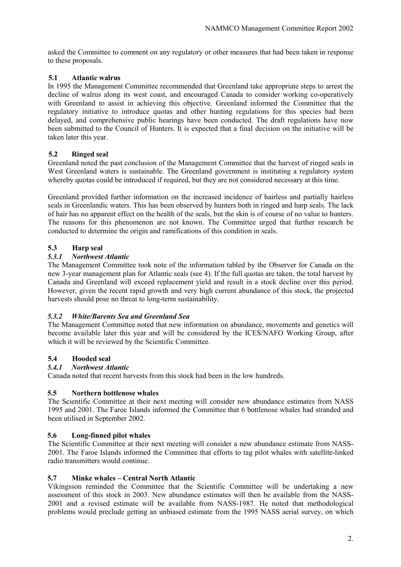asked the Committee to comment on any regulatory or other measures that had been taken in response to these proposals.

## **5.1 Atlantic walrus**

In 1995 the Management Committee recommended that Greenland take appropriate steps to arrest the decline of walrus along its west coast, and encouraged Canada to consider working co-operatively with Greenland to assist in achieving this objective. Greenland informed the Committee that the regulatory initiative to introduce quotas and other hunting regulations for this species had been delayed, and comprehensive public hearings have been conducted. The draft regulations have now been submitted to the Council of Hunters. It is expected that a final decision on the initiative will be taken later this year.

## **5.2 Ringed seal**

Greenland noted the past conclusion of the Management Committee that the harvest of ringed seals in West Greenland waters is sustainable. The Greenland government is instituting a regulatory system whereby quotas could be introduced if required, but they are not considered necessary at this time.

Greenland provided further information on the increased incidence of hairless and partially hairless seals in Greenlandic waters. This has been observed by hunters both in ringed and harp seals. The lack of hair has no apparent effect on the health of the seals, but the skin is of course of no value to hunters. The reasons for this phenomenon are not known. The Committee urged that further research be conducted to determine the origin and ramifications of this condition in seals.

## **5.3 Harp seal**

## *5.3.1 Northwest Atlantic*

The Management Committee took note of the information tabled by the Observer for Canada on the new 3-year management plan for Atlantic seals (see 4). If the full quotas are taken, the total harvest by Canada and Greenland will exceed replacement yield and result in a stock decline over this period. However, given the recent rapid growth and very high current abundance of this stock, the projected harvests should pose no threat to long-term sustainability.

## *5.3.2 White/Barents Sea and Greenland Sea*

The Management Committee noted that new information on abundance, movements and genetics will become available later this year and will be considered by the ICES/NAFO Working Group, after which it will be reviewed by the Scientific Committee.

## **5.4 Hooded seal**

## *5.4.1 Northwest Atlantic*

Canada noted that recent harvests from this stock had been in the low hundreds.

## **5.5 Northern bottlenose whales**

The Scientific Committee at their next meeting will consider new abundance estimates from NASS 1995 and 2001. The Faroe Islands informed the Committee that 6 bottlenose whales had stranded and been utilised in September 2002.

## **5.6 Long-finned pilot whales**

The Scientific Committee at their next meeting will consider a new abundance estimate from NASS-2001. The Faroe Islands informed the Committee that efforts to tag pilot whales with satellite-linked radio transmitters would continue.

## **5.7 Minke whales – Central North Atlantic**

Víkingsson reminded the Committee that the Scientific Committee will be undertaking a new assessment of this stock in 2003. New abundance estimates will then be available from the NASS-2001 and a revised estimate will be available from NASS-1987. He noted that methodological problems would preclude getting an unbiased estimate from the 1995 NASS aerial survey, on which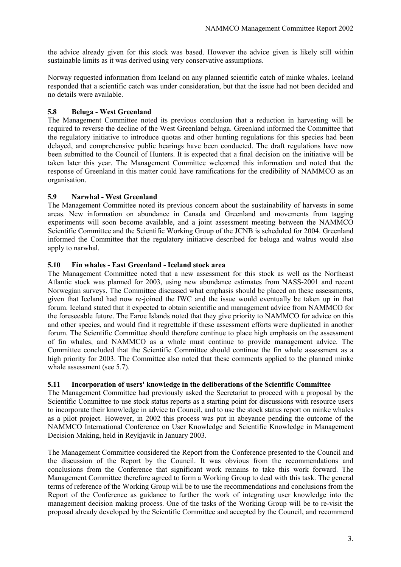the advice already given for this stock was based. However the advice given is likely still within sustainable limits as it was derived using very conservative assumptions.

Norway requested information from Iceland on any planned scientific catch of minke whales. Iceland responded that a scientific catch was under consideration, but that the issue had not been decided and no details were available.

## **5.8 Beluga - West Greenland**

The Management Committee noted its previous conclusion that a reduction in harvesting will be required to reverse the decline of the West Greenland beluga. Greenland informed the Committee that the regulatory initiative to introduce quotas and other hunting regulations for this species had been delayed, and comprehensive public hearings have been conducted. The draft regulations have now been submitted to the Council of Hunters. It is expected that a final decision on the initiative will be taken later this year. The Management Committee welcomed this information and noted that the response of Greenland in this matter could have ramifications for the credibility of NAMMCO as an organisation.

## **5.9 Narwhal - West Greenland**

The Management Committee noted its previous concern about the sustainability of harvests in some areas. New information on abundance in Canada and Greenland and movements from tagging experiments will soon become available, and a joint assessment meeting between the NAMMCO Scientific Committee and the Scientific Working Group of the JCNB is scheduled for 2004. Greenland informed the Committee that the regulatory initiative described for beluga and walrus would also apply to narwhal.

#### **5.10 Fin whales - East Greenland - Iceland stock area**

The Management Committee noted that a new assessment for this stock as well as the Northeast Atlantic stock was planned for 2003, using new abundance estimates from NASS-2001 and recent Norwegian surveys. The Committee discussed what emphasis should be placed on these assessments, given that Iceland had now re-joined the IWC and the issue would eventually be taken up in that forum. Iceland stated that it expected to obtain scientific and management advice from NAMMCO for the foreseeable future. The Faroe Islands noted that they give priority to NAMMCO for advice on this and other species, and would find it regrettable if these assessment efforts were duplicated in another forum. The Scientific Committee should therefore continue to place high emphasis on the assessment of fin whales, and NAMMCO as a whole must continue to provide management advice. The Committee concluded that the Scientific Committee should continue the fin whale assessment as a high priority for 2003. The Committee also noted that these comments applied to the planned minke whale assessment (see 5.7).

## **5.11 Incorporation of users' knowledge in the deliberations of the Scientific Committee**

The Management Committee had previously asked the Secretariat to proceed with a proposal by the Scientific Committee to use stock status reports as a starting point for discussions with resource users to incorporate their knowledge in advice to Council, and to use the stock status report on minke whales as a pilot project. However, in 2002 this process was put in abeyance pending the outcome of the NAMMCO International Conference on User Knowledge and Scientific Knowledge in Management Decision Making, held in Reykjavik in January 2003.

The Management Committee considered the Report from the Conference presented to the Council and the discussion of the Report by the Council. It was obvious from the recommendations and conclusions from the Conference that significant work remains to take this work forward. The Management Committee therefore agreed to form a Working Group to deal with this task. The general terms of reference of the Working Group will be to use the recommendations and conclusions from the Report of the Conference as guidance to further the work of integrating user knowledge into the management decision making process. One of the tasks of the Working Group will be to re-visit the proposal already developed by the Scientific Committee and accepted by the Council, and recommend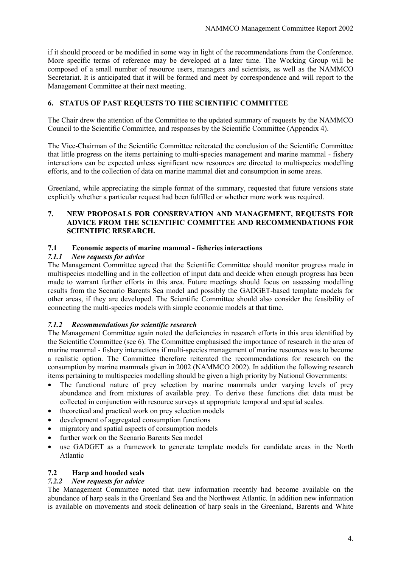if it should proceed or be modified in some way in light of the recommendations from the Conference. More specific terms of reference may be developed at a later time. The Working Group will be composed of a small number of resource users, managers and scientists, as well as the NAMMCO Secretariat. It is anticipated that it will be formed and meet by correspondence and will report to the Management Committee at their next meeting.

## **6. STATUS OF PAST REQUESTS TO THE SCIENTIFIC COMMITTEE**

The Chair drew the attention of the Committee to the updated summary of requests by the NAMMCO Council to the Scientific Committee, and responses by the Scientific Committee (Appendix 4).

The Vice-Chairman of the Scientific Committee reiterated the conclusion of the Scientific Committee that little progress on the items pertaining to multi-species management and marine mammal - fishery interactions can be expected unless significant new resources are directed to multispecies modelling efforts, and to the collection of data on marine mammal diet and consumption in some areas.

Greenland, while appreciating the simple format of the summary, requested that future versions state explicitly whether a particular request had been fulfilled or whether more work was required.

#### **7. NEW PROPOSALS FOR CONSERVATION AND MANAGEMENT, REQUESTS FOR ADVICE FROM THE SCIENTIFIC COMMITTEE AND RECOMMENDATIONS FOR SCIENTIFIC RESEARCH.**

#### **7.1 Economic aspects of marine mammal - fisheries interactions**

#### *7.1.1 New requests for advice*

The Management Committee agreed that the Scientific Committee should monitor progress made in multispecies modelling and in the collection of input data and decide when enough progress has been made to warrant further efforts in this area. Future meetings should focus on assessing modelling results from the Scenario Barents Sea model and possibly the GADGET-based template models for other areas, if they are developed. The Scientific Committee should also consider the feasibility of connecting the multi-species models with simple economic models at that time.

## *7.1.2 Recommendations for scientific research*

The Management Committee again noted the deficiencies in research efforts in this area identified by the Scientific Committee (see 6). The Committee emphasised the importance of research in the area of marine mammal - fishery interactions if multi-species management of marine resources was to become a realistic option. The Committee therefore reiterated the recommendations for research on the consumption by marine mammals given in 2002 (NAMMCO 2002). In addition the following research items pertaining to multispecies modelling should be given a high priority by National Governments:

- The functional nature of prey selection by marine mammals under varying levels of prey abundance and from mixtures of available prey. To derive these functions diet data must be collected in conjunction with resource surveys at appropriate temporal and spatial scales.
- theoretical and practical work on prey selection models
- development of aggregated consumption functions
- migratory and spatial aspects of consumption models
- further work on the Scenario Barents Sea model
- use GADGET as a framework to generate template models for candidate areas in the North Atlantic

## **7.2 Harp and hooded seals**

## *7.2.2 New requests for advice*

The Management Committee noted that new information recently had become available on the abundance of harp seals in the Greenland Sea and the Northwest Atlantic. In addition new information is available on movements and stock delineation of harp seals in the Greenland, Barents and White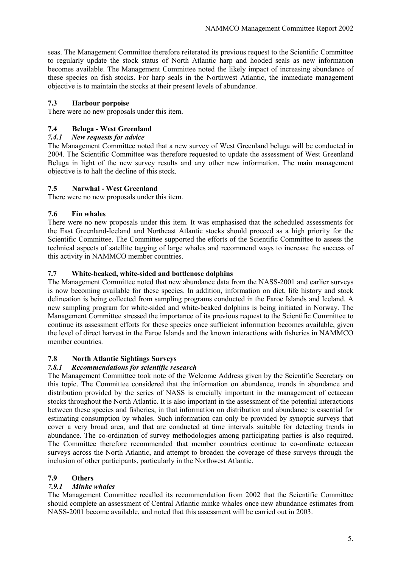seas. The Management Committee therefore reiterated its previous request to the Scientific Committee to regularly update the stock status of North Atlantic harp and hooded seals as new information becomes available. The Management Committee noted the likely impact of increasing abundance of these species on fish stocks. For harp seals in the Northwest Atlantic, the immediate management objective is to maintain the stocks at their present levels of abundance.

## **7.3 Harbour porpoise**

There were no new proposals under this item.

## **7.4 Beluga - West Greenland**

## *7.4.1 New requests for advice*

The Management Committee noted that a new survey of West Greenland beluga will be conducted in 2004. The Scientific Committee was therefore requested to update the assessment of West Greenland Beluga in light of the new survey results and any other new information. The main management objective is to halt the decline of this stock.

#### **7.5 Narwhal - West Greenland**

There were no new proposals under this item.

#### **7.6 Fin whales**

There were no new proposals under this item. It was emphasised that the scheduled assessments for the East Greenland-Iceland and Northeast Atlantic stocks should proceed as a high priority for the Scientific Committee. The Committee supported the efforts of the Scientific Committee to assess the technical aspects of satellite tagging of large whales and recommend ways to increase the success of this activity in NAMMCO member countries.

#### **7.7 White-beaked, white-sided and bottlenose dolphins**

The Management Committee noted that new abundance data from the NASS-2001 and earlier surveys is now becoming available for these species. In addition, information on diet, life history and stock delineation is being collected from sampling programs conducted in the Faroe Islands and Iceland. A new sampling program for white-sided and white-beaked dolphins is being initiated in Norway. The Management Committee stressed the importance of its previous request to the Scientific Committee to continue its assessment efforts for these species once sufficient information becomes available, given the level of direct harvest in the Faroe Islands and the known interactions with fisheries in NAMMCO member countries.

## **7.8 North Atlantic Sightings Surveys**

## *7.8.1 Recommendations for scientific research*

The Management Committee took note of the Welcome Address given by the Scientific Secretary on this topic. The Committee considered that the information on abundance, trends in abundance and distribution provided by the series of NASS is crucially important in the management of cetacean stocks throughout the North Atlantic. It is also important in the assessment of the potential interactions between these species and fisheries, in that information on distribution and abundance is essential for estimating consumption by whales. Such information can only be provided by synoptic surveys that cover a very broad area, and that are conducted at time intervals suitable for detecting trends in abundance. The co-ordination of survey methodologies among participating parties is also required. The Committee therefore recommended that member countries continue to co-ordinate cetacean surveys across the North Atlantic, and attempt to broaden the coverage of these surveys through the inclusion of other participants, particularly in the Northwest Atlantic.

## **7.9 Others**

## *7.9.1 Minke whales*

The Management Committee recalled its recommendation from 2002 that the Scientific Committee should complete an assessment of Central Atlantic minke whales once new abundance estimates from NASS-2001 become available, and noted that this assessment will be carried out in 2003.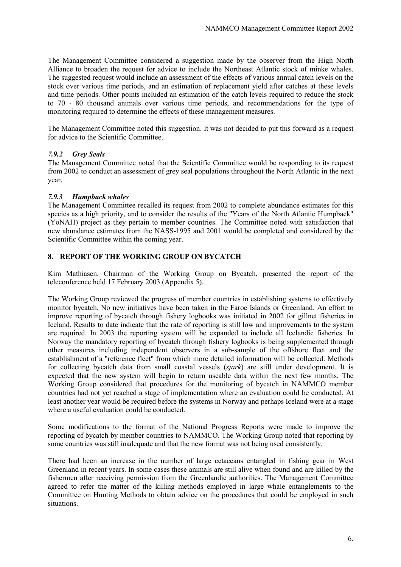The Management Committee considered a suggestion made by the observer from the High North Alliance to broaden the request for advice to include the Northeast Atlantic stock of minke whales. The suggested request would include an assessment of the effects of various annual catch levels on the stock over various time periods, and an estimation of replacement yield after catches at these levels and time periods. Other points included an estimation of the catch levels required to reduce the stock to 70 - 80 thousand animals over various time periods, and recommendations for the type of monitoring required to determine the effects of these management measures.

The Management Committee noted this suggestion. It was not decided to put this forward as a request for advice to the Scientific Committee.

## *7.9.2 Grey Seals*

The Management Committee noted that the Scientific Committee would be responding to its request from 2002 to conduct an assessment of grey seal populations throughout the North Atlantic in the next year.

#### *7.9.3 Humpback whales*

The Management Committee recalled its request from 2002 to complete abundance estimates for this species as a high priority, and to consider the results of the "Years of the North Atlantic Humpback" (YoNAH) project as they pertain to member countries. The Committee noted with satisfaction that new abundance estimates from the NASS-1995 and 2001 would be completed and considered by the Scientific Committee within the coming year.

## **8. REPORT OF THE WORKING GROUP ON BYCATCH**

Kim Mathiasen, Chairman of the Working Group on Bycatch, presented the report of the teleconference held 17 February 2003 (Appendix 5).

The Working Group reviewed the progress of member countries in establishing systems to effectively monitor bycatch. No new initiatives have been taken in the Faroe Islands or Greenland. An effort to improve reporting of bycatch through fishery logbooks was initiated in 2002 for gillnet fisheries in Iceland. Results to date indicate that the rate of reporting is still low and improvements to the system are required. In 2003 the reporting system will be expanded to include all Icelandic fisheries. In Norway the mandatory reporting of bycatch through fishery logbooks is being supplemented through other measures including independent observers in a sub-sample of the offshore fleet and the establishment of a "reference fleet" from which more detailed information will be collected. Methods for collecting bycatch data from small coastal vessels (*sjark*) are still under development. It is expected that the new system will begin to return useable data within the next few months. The Working Group considered that procedures for the monitoring of bycatch in NAMMCO member countries had not yet reached a stage of implementation where an evaluation could be conducted. At least another year would be required before the systems in Norway and perhaps Iceland were at a stage where a useful evaluation could be conducted.

Some modifications to the format of the National Progress Reports were made to improve the reporting of bycatch by member countries to NAMMCO. The Working Group noted that reporting by some countries was still inadequate and that the new format was not being used consistently.

There had been an increase in the number of large cetaceans entangled in fishing gear in West Greenland in recent years. In some cases these animals are still alive when found and are killed by the fishermen after receiving permission from the Greenlandic authorities. The Management Committee agreed to refer the matter of the killing methods employed in large whale entanglements to the Committee on Hunting Methods to obtain advice on the procedures that could be employed in such situations.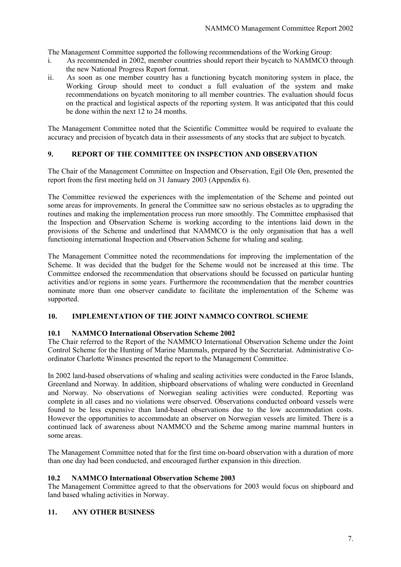The Management Committee supported the following recommendations of the Working Group:

- i. As recommended in 2002, member countries should report their bycatch to NAMMCO through the new National Progress Report format.
- ii. As soon as one member country has a functioning bycatch monitoring system in place, the Working Group should meet to conduct a full evaluation of the system and make recommendations on bycatch monitoring to all member countries. The evaluation should focus on the practical and logistical aspects of the reporting system. It was anticipated that this could be done within the next 12 to 24 months.

The Management Committee noted that the Scientific Committee would be required to evaluate the accuracy and precision of bycatch data in their assessments of any stocks that are subject to bycatch.

## **9. REPORT OF THE COMMITTEE ON INSPECTION AND OBSERVATION**

The Chair of the Management Committee on Inspection and Observation, Egil Ole Øen, presented the report from the first meeting held on 31 January 2003 (Appendix 6).

The Committee reviewed the experiences with the implementation of the Scheme and pointed out some areas for improvements. In general the Committee saw no serious obstacles as to upgrading the routines and making the implementation process run more smoothly. The Committee emphasised that the Inspection and Observation Scheme is working according to the intentions laid down in the provisions of the Scheme and underlined that NAMMCO is the only organisation that has a well functioning international Inspection and Observation Scheme for whaling and sealing.

The Management Committee noted the recommendations for improving the implementation of the Scheme. It was decided that the budget for the Scheme would not be increased at this time. The Committee endorsed the recommendation that observations should be focussed on particular hunting activities and/or regions in some years. Furthermore the recommendation that the member countries nominate more than one observer candidate to facilitate the implementation of the Scheme was supported.

## **10. IMPLEMENTATION OF THE JOINT NAMMCO CONTROL SCHEME**

## **10.1 NAMMCO International Observation Scheme 2002**

The Chair referred to the Report of the NAMMCO International Observation Scheme under the Joint Control Scheme for the Hunting of Marine Mammals, prepared by the Secretariat. Administrative Coordinator Charlotte Winsnes presented the report to the Management Committee.

In 2002 land-based observations of whaling and sealing activities were conducted in the Faroe Islands, Greenland and Norway. In addition, shipboard observations of whaling were conducted in Greenland and Norway. No observations of Norwegian sealing activities were conducted. Reporting was complete in all cases and no violations were observed. Observations conducted onboard vessels were found to be less expensive than land-based observations due to the low accommodation costs. However the opportunities to accommodate an observer on Norwegian vessels are limited. There is a continued lack of awareness about NAMMCO and the Scheme among marine mammal hunters in some areas.

The Management Committee noted that for the first time on-board observation with a duration of more than one day had been conducted, and encouraged further expansion in this direction.

#### **10.2 NAMMCO International Observation Scheme 2003**

The Management Committee agreed to that the observations for 2003 would focus on shipboard and land based whaling activities in Norway.

## **11. ANY OTHER BUSINESS**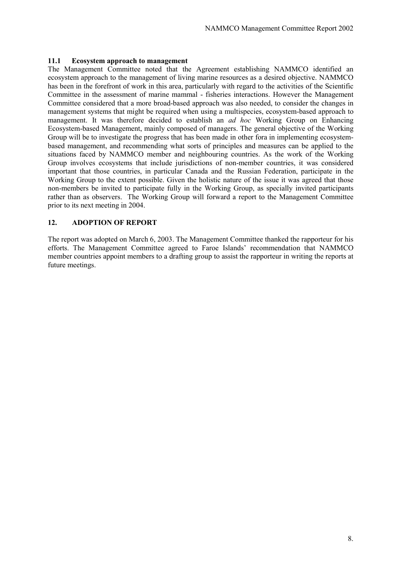#### **11.1 Ecosystem approach to management**

The Management Committee noted that the Agreement establishing NAMMCO identified an ecosystem approach to the management of living marine resources as a desired objective. NAMMCO has been in the forefront of work in this area, particularly with regard to the activities of the Scientific Committee in the assessment of marine mammal - fisheries interactions. However the Management Committee considered that a more broad-based approach was also needed, to consider the changes in management systems that might be required when using a multispecies, ecosystem-based approach to management. It was therefore decided to establish an *ad hoc* Working Group on Enhancing Ecosystem-based Management, mainly composed of managers. The general objective of the Working Group will be to investigate the progress that has been made in other fora in implementing ecosystembased management, and recommending what sorts of principles and measures can be applied to the situations faced by NAMMCO member and neighbouring countries. As the work of the Working Group involves ecosystems that include jurisdictions of non-member countries, it was considered important that those countries, in particular Canada and the Russian Federation, participate in the Working Group to the extent possible. Given the holistic nature of the issue it was agreed that those non-members be invited to participate fully in the Working Group, as specially invited participants rather than as observers. The Working Group will forward a report to the Management Committee prior to its next meeting in 2004.

## **12. ADOPTION OF REPORT**

The report was adopted on March 6, 2003. The Management Committee thanked the rapporteur for his efforts. The Management Committee agreed to Faroe Islands' recommendation that NAMMCO member countries appoint members to a drafting group to assist the rapporteur in writing the reports at future meetings.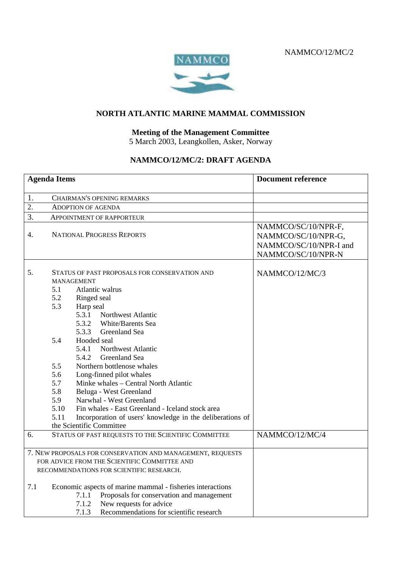NAMMCO/12/MC/2



## **NORTH ATLANTIC MARINE MAMMAL COMMISSION**

## **Meeting of the Management Committee**

5 March 2003, Leangkollen, Asker, Norway

## **NAMMCO/12/MC/2: DRAFT AGENDA**

| <b>Agenda Items</b>                                        |                   |                                                                                                                                                                                                          | <b>Document reference</b>                                                                  |
|------------------------------------------------------------|-------------------|----------------------------------------------------------------------------------------------------------------------------------------------------------------------------------------------------------|--------------------------------------------------------------------------------------------|
| 1.                                                         |                   | CHAIRMAN'S OPENING REMARKS                                                                                                                                                                               |                                                                                            |
| 2.                                                         |                   | <b>ADOPTION OF AGENDA</b>                                                                                                                                                                                |                                                                                            |
| 3.                                                         |                   | APPOINTMENT OF RAPPORTEUR                                                                                                                                                                                |                                                                                            |
| 4.                                                         |                   | <b>NATIONAL PROGRESS REPORTS</b>                                                                                                                                                                         | NAMMCO/SC/10/NPR-F,<br>NAMMCO/SC/10/NPR-G,<br>NAMMCO/SC/10/NPR-I and<br>NAMMCO/SC/10/NPR-N |
| 5.                                                         | 5.1<br>5.2<br>5.3 | STATUS OF PAST PROPOSALS FOR CONSERVATION AND<br><b>MANAGEMENT</b><br>Atlantic walrus<br>Ringed seal<br>Harp seal<br>5.3.1<br><b>Northwest Atlantic</b><br>5.3.2 White/Barents Sea                       | NAMMCO/12/MC/3                                                                             |
|                                                            | 5.4               | 5.3.3<br>Greenland Sea<br>Hooded seal<br>5.4.1<br><b>Northwest Atlantic</b><br>Greenland Sea<br>5.4.2                                                                                                    |                                                                                            |
|                                                            | 5.5<br>5.6<br>5.7 | Northern bottlenose whales<br>Long-finned pilot whales<br>Minke whales - Central North Atlantic                                                                                                          |                                                                                            |
|                                                            | 5.8               | Beluga - West Greenland                                                                                                                                                                                  |                                                                                            |
|                                                            | 5.9               | Narwhal - West Greenland                                                                                                                                                                                 |                                                                                            |
|                                                            | 5.10<br>5.11      | Fin whales - East Greenland - Iceland stock area<br>Incorporation of users' knowledge in the deliberations of<br>the Scientific Committee                                                                |                                                                                            |
| 6.                                                         |                   | STATUS OF PAST REQUESTS TO THE SCIENTIFIC COMMITTEE                                                                                                                                                      | NAMMCO/12/MC/4                                                                             |
| 7. NEW PROPOSALS FOR CONSERVATION AND MANAGEMENT, REQUESTS |                   |                                                                                                                                                                                                          |                                                                                            |
|                                                            |                   | FOR ADVICE FROM THE SCIENTIFIC COMMITTEE AND                                                                                                                                                             |                                                                                            |
|                                                            |                   | RECOMMENDATIONS FOR SCIENTIFIC RESEARCH.                                                                                                                                                                 |                                                                                            |
| 7.1                                                        |                   | Economic aspects of marine mammal - fisheries interactions<br>Proposals for conservation and management<br>7.1.1<br>New requests for advice<br>7.1.2<br>7.1.3<br>Recommendations for scientific research |                                                                                            |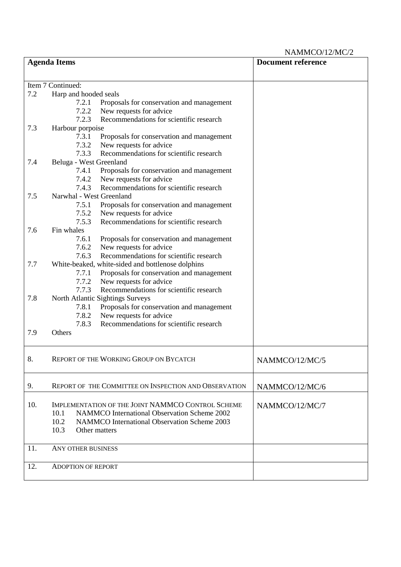NAMMCO/12/MC/2

|     | <b>Agenda Items</b>                                                                  | <b>Document reference</b> |
|-----|--------------------------------------------------------------------------------------|---------------------------|
|     |                                                                                      |                           |
|     | Item 7 Continued:                                                                    |                           |
| 7.2 | Harp and hooded seals                                                                |                           |
|     | 7.2.1<br>Proposals for conservation and management                                   |                           |
|     | 7.2.2<br>New requests for advice                                                     |                           |
|     | Recommendations for scientific research<br>7.2.3                                     |                           |
| 7.3 | Harbour porpoise                                                                     |                           |
|     | 7.3.1<br>Proposals for conservation and management                                   |                           |
|     | New requests for advice<br>7.3.2                                                     |                           |
|     | 7.3.3<br>Recommendations for scientific research                                     |                           |
| 7.4 | Beluga - West Greenland                                                              |                           |
|     | 7.4.1<br>Proposals for conservation and management                                   |                           |
|     | New requests for advice<br>7.4.2                                                     |                           |
|     | Recommendations for scientific research<br>7.4.3                                     |                           |
| 7.5 | Narwhal - West Greenland                                                             |                           |
|     | 7.5.1<br>Proposals for conservation and management                                   |                           |
|     | 7.5.2<br>New requests for advice                                                     |                           |
|     | Recommendations for scientific research<br>7.5.3                                     |                           |
| 7.6 | Fin whales                                                                           |                           |
|     | 7.6.1<br>Proposals for conservation and management                                   |                           |
|     | New requests for advice<br>7.6.2<br>7.6.3<br>Recommendations for scientific research |                           |
| 7.7 |                                                                                      |                           |
|     | White-beaked, white-sided and bottlenose dolphins<br>7.7.1                           |                           |
|     | Proposals for conservation and management<br>7.7.2                                   |                           |
|     | New requests for advice<br>Recommendations for scientific research<br>7.7.3          |                           |
| 7.8 | North Atlantic Sightings Surveys                                                     |                           |
|     | Proposals for conservation and management<br>7.8.1                                   |                           |
|     | New requests for advice<br>7.8.2                                                     |                           |
|     | Recommendations for scientific research<br>7.8.3                                     |                           |
| 7.9 | Others                                                                               |                           |
|     |                                                                                      |                           |
| 8.  | REPORT OF THE WORKING GROUP ON BYCATCH                                               | NAMMCO/12/MC/5            |
|     |                                                                                      |                           |
| 9.  | REPORT OF THE COMMITTEE ON INSPECTION AND OBSERVATION                                | NAMMCO/12/MC/6            |
|     |                                                                                      |                           |
| 10. | IMPLEMENTATION OF THE JOINT NAMMCO CONTROL SCHEME                                    | NAMMCO/12/MC/7            |
|     | NAMMCO International Observation Scheme 2002<br>10.1                                 |                           |
|     | 10.2<br><b>NAMMCO</b> International Observation Scheme 2003                          |                           |
|     | 10.3<br>Other matters                                                                |                           |
|     |                                                                                      |                           |
| 11. | ANY OTHER BUSINESS                                                                   |                           |
| 12. | <b>ADOPTION OF REPORT</b>                                                            |                           |
|     |                                                                                      |                           |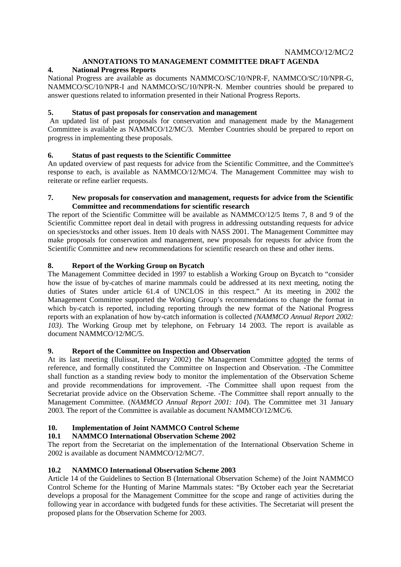## **ANNOTATIONS TO MANAGEMENT COMMITTEE DRAFT AGENDA**

## **4. National Progress Reports**

National Progress are available as documents NAMMCO/SC/10/NPR-F, NAMMCO/SC/10/NPR-G, NAMMCO/SC/10/NPR-I and NAMMCO/SC/10/NPR-N. Member countries should be prepared to answer questions related to information presented in their National Progress Reports.

#### **5. Status of past proposals for conservation and management**

An updated list of past proposals for conservation and management made by the Management Committee is available as NAMMCO/12/MC/3. Member Countries should be prepared to report on progress in implementing these proposals.

## **6. Status of past requests to the Scientific Committee**

An updated overview of past requests for advice from the Scientific Committee, and the Committee's response to each, is available as NAMMCO/12/MC/4. The Management Committee may wish to reiterate or refine earlier requests.

#### **7. New proposals for conservation and management, requests for advice from the Scientific Committee and recommendations for scientific research**

The report of the Scientific Committee will be available as NAMMCO/12/5 Items 7, 8 and 9 of the Scientific Committee report deal in detail with progress in addressing outstanding requests for advice on species/stocks and other issues. Item 10 deals with NASS 2001. The Management Committee may make proposals for conservation and management, new proposals for requests for advice from the Scientific Committee and new recommendations for scientific research on these and other items.

## **8. Report of the Working Group on Bycatch**

The Management Committee decided in 1997 to establish a Working Group on Bycatch to "consider how the issue of by-catches of marine mammals could be addressed at its next meeting, noting the duties of States under article 61.4 of UNCLOS in this respect." At its meeting in 2002 the Management Committee supported the Working Group's recommendations to change the format in which by-catch is reported, including reporting through the new format of the National Progress reports with an explanation of how by-catch information is collected *(NAMMCO Annual Report 2002: 103)*. The Working Group met by telephone, on February 14 2003. The report is available as document NAMMCO/12/MC/5.

#### **9. Report of the Committee on Inspection and Observation**

At its last meeting (Ilulissat, February 2002) the Management Committee adopted the terms of reference, and formally constituted the Committee on Inspection and Observation. -The Committee shall function as a standing review body to monitor the implementation of the Observation Scheme and provide recommendations for improvement. -The Committee shall upon request from the Secretariat provide advice on the Observation Scheme. -The Committee shall report annually to the Management Committee. (*NAMMCO Annual Report 2001: 104*). The Committee met 31 January 2003. The report of the Committee is available as document NAMMCO/12/MC/6.

#### **10. Implementation of Joint NAMMCO Control Scheme**

## **10.1 NAMMCO International Observation Scheme 2002**

The report from the Secretariat on the implementation of the International Observation Scheme in 2002 is available as document NAMMCO/12/MC/7.

#### **10.2 NAMMCO International Observation Scheme 2003**

Article 14 of the Guidelines to Section B (International Observation Scheme) of the Joint NAMMCO Control Scheme for the Hunting of Marine Mammals states: "By October each year the Secretariat develops a proposal for the Management Committee for the scope and range of activities during the following year in accordance with budgeted funds for these activities. The Secretariat will present the proposed plans for the Observation Scheme for 2003.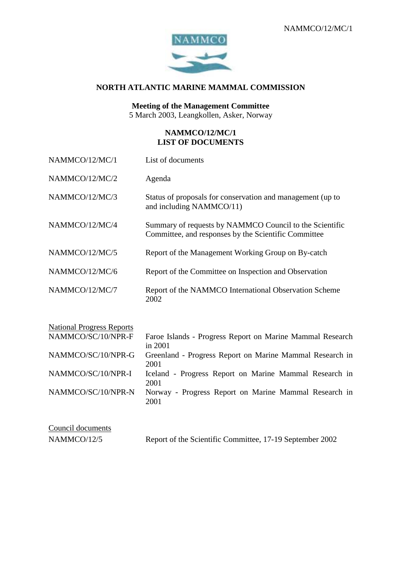

## **NORTH ATLANTIC MARINE MAMMAL COMMISSION**

## **Meeting of the Management Committee**

5 March 2003, Leangkollen, Asker, Norway

## **NAMMCO/12/MC/1 LIST OF DOCUMENTS**

| NAMMCO/12/MC/1                   | List of documents                                                                                               |
|----------------------------------|-----------------------------------------------------------------------------------------------------------------|
| NAMMCO/12/MC/2                   | Agenda                                                                                                          |
| NAMMCO/12/MC/3                   | Status of proposals for conservation and management (up to<br>and including NAMMCO/11)                          |
| NAMMCO/12/MC/4                   | Summary of requests by NAMMCO Council to the Scientific<br>Committee, and responses by the Scientific Committee |
| NAMMCO/12/MC/5                   | Report of the Management Working Group on By-catch                                                              |
| NAMMCO/12/MC/6                   | Report of the Committee on Inspection and Observation                                                           |
| NAMMCO/12/MC/7                   | Report of the NAMMCO International Observation Scheme<br>2002                                                   |
| <b>National Progress Reports</b> |                                                                                                                 |
| NAMMCO/SC/10/NPR-F               | Faroe Islands - Progress Report on Marine Mammal Research<br>in 2001                                            |
| NAMMCO/SC/10/NPR-G               | Greenland - Progress Report on Marine Mammal Research in<br>2001                                                |
| NAMMCO/SC/10/NPR-I               | Iceland - Progress Report on Marine Mammal Research in<br>2001                                                  |
| NAMMCO/SC/10/NPR-N               | Norway - Progress Report on Marine Mammal Research in<br>2001                                                   |
| Council documents                |                                                                                                                 |

| Council documents |                                                          |  |
|-------------------|----------------------------------------------------------|--|
| NAMMCO/12/5       | Report of the Scientific Committee, 17-19 September 2002 |  |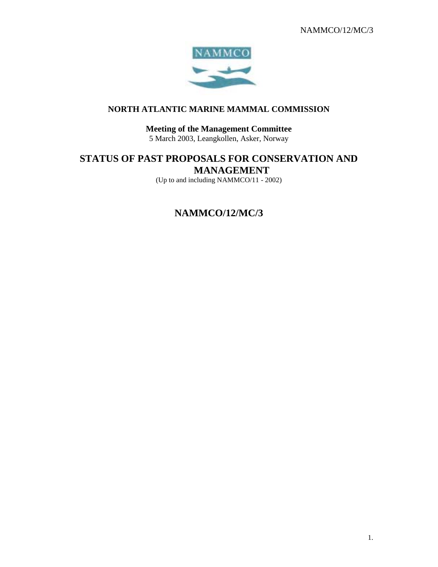

## **NORTH ATLANTIC MARINE MAMMAL COMMISSION**

#### **Meeting of the Management Committee** 5 March 2003, Leangkollen, Asker, Norway

## **STATUS OF PAST PROPOSALS FOR CONSERVATION AND MANAGEMENT**

(Up to and including NAMMCO/11 - 2002)

## **NAMMCO/12/MC/3**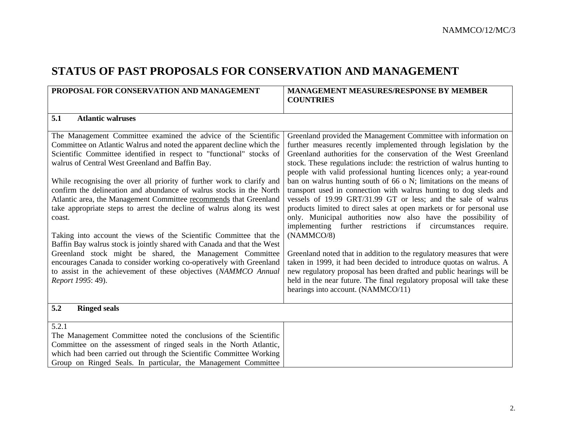## **STATUS OF PAST PROPOSALS FOR CONSERVATION AND MANAGEMENT**

| PROPOSAL FOR CONSERVATION AND MANAGEMENT                                                                                                                                                                                                                                                                                                                                                                                                                                                                                                                                                                                                                                                                                                                                                                                                                                                                                                                  | <b>MANAGEMENT MEASURES/RESPONSE BY MEMBER</b><br><b>COUNTRIES</b>                                                                                                                                                                                                                                                                                                                                                                                                                                                                                                                                                                                                                                                                                                                                                                                                                                                                                                                                                                                                                                                                   |
|-----------------------------------------------------------------------------------------------------------------------------------------------------------------------------------------------------------------------------------------------------------------------------------------------------------------------------------------------------------------------------------------------------------------------------------------------------------------------------------------------------------------------------------------------------------------------------------------------------------------------------------------------------------------------------------------------------------------------------------------------------------------------------------------------------------------------------------------------------------------------------------------------------------------------------------------------------------|-------------------------------------------------------------------------------------------------------------------------------------------------------------------------------------------------------------------------------------------------------------------------------------------------------------------------------------------------------------------------------------------------------------------------------------------------------------------------------------------------------------------------------------------------------------------------------------------------------------------------------------------------------------------------------------------------------------------------------------------------------------------------------------------------------------------------------------------------------------------------------------------------------------------------------------------------------------------------------------------------------------------------------------------------------------------------------------------------------------------------------------|
|                                                                                                                                                                                                                                                                                                                                                                                                                                                                                                                                                                                                                                                                                                                                                                                                                                                                                                                                                           |                                                                                                                                                                                                                                                                                                                                                                                                                                                                                                                                                                                                                                                                                                                                                                                                                                                                                                                                                                                                                                                                                                                                     |
| 5.1<br><b>Atlantic walruses</b>                                                                                                                                                                                                                                                                                                                                                                                                                                                                                                                                                                                                                                                                                                                                                                                                                                                                                                                           |                                                                                                                                                                                                                                                                                                                                                                                                                                                                                                                                                                                                                                                                                                                                                                                                                                                                                                                                                                                                                                                                                                                                     |
| The Management Committee examined the advice of the Scientific<br>Committee on Atlantic Walrus and noted the apparent decline which the<br>Scientific Committee identified in respect to "functional" stocks of<br>walrus of Central West Greenland and Baffin Bay.<br>While recognising the over all priority of further work to clarify and<br>confirm the delineation and abundance of walrus stocks in the North<br>Atlantic area, the Management Committee recommends that Greenland<br>take appropriate steps to arrest the decline of walrus along its west<br>coast.<br>Taking into account the views of the Scientific Committee that the<br>Baffin Bay walrus stock is jointly shared with Canada and that the West<br>Greenland stock might be shared, the Management Committee<br>encourages Canada to consider working co-operatively with Greenland<br>to assist in the achievement of these objectives (NAMMCO Annual<br>Report 1995: 49). | Greenland provided the Management Committee with information on<br>further measures recently implemented through legislation by the<br>Greenland authorities for the conservation of the West Greenland<br>stock. These regulations include: the restriction of walrus hunting to<br>people with valid professional hunting licences only; a year-round<br>ban on walrus hunting south of 66 o N; limitations on the means of<br>transport used in connection with walrus hunting to dog sleds and<br>vessels of 19.99 GRT/31.99 GT or less; and the sale of walrus<br>products limited to direct sales at open markets or for personal use<br>only. Municipal authorities now also have the possibility of<br>implementing further restrictions if circumstances<br>require.<br>(NAMMCO/8)<br>Greenland noted that in addition to the regulatory measures that were<br>taken in 1999, it had been decided to introduce quotas on walrus. A<br>new regulatory proposal has been drafted and public hearings will be<br>held in the near future. The final regulatory proposal will take these<br>hearings into account. (NAMMCO/11) |
| 5.2<br><b>Ringed seals</b>                                                                                                                                                                                                                                                                                                                                                                                                                                                                                                                                                                                                                                                                                                                                                                                                                                                                                                                                |                                                                                                                                                                                                                                                                                                                                                                                                                                                                                                                                                                                                                                                                                                                                                                                                                                                                                                                                                                                                                                                                                                                                     |
| 5.2.1<br>The Management Committee noted the conclusions of the Scientific<br>Committee on the assessment of ringed seals in the North Atlantic,<br>which had been carried out through the Scientific Committee Working<br>Group on Ringed Seals. In particular, the Management Committee                                                                                                                                                                                                                                                                                                                                                                                                                                                                                                                                                                                                                                                                  |                                                                                                                                                                                                                                                                                                                                                                                                                                                                                                                                                                                                                                                                                                                                                                                                                                                                                                                                                                                                                                                                                                                                     |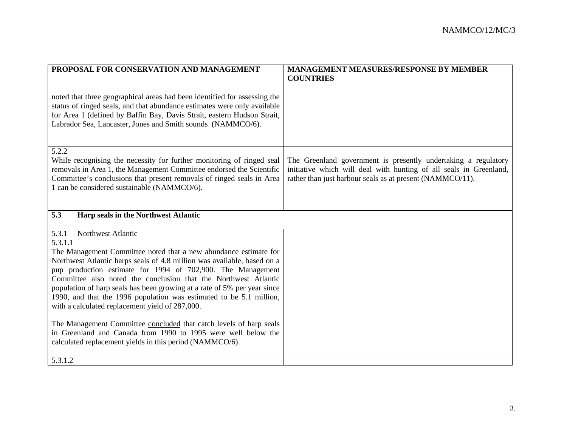| PROPOSAL FOR CONSERVATION AND MANAGEMENT                                                                                                              | <b>MANAGEMENT MEASURES/RESPONSE BY MEMBER</b><br><b>COUNTRIES</b>                                                               |
|-------------------------------------------------------------------------------------------------------------------------------------------------------|---------------------------------------------------------------------------------------------------------------------------------|
|                                                                                                                                                       |                                                                                                                                 |
| noted that three geographical areas had been identified for assessing the<br>status of ringed seals, and that abundance estimates were only available |                                                                                                                                 |
| for Area 1 (defined by Baffin Bay, Davis Strait, eastern Hudson Strait,<br>Labrador Sea, Lancaster, Jones and Smith sounds (NAMMCO/6).                |                                                                                                                                 |
|                                                                                                                                                       |                                                                                                                                 |
| 5.2.2                                                                                                                                                 |                                                                                                                                 |
| While recognising the necessity for further monitoring of ringed seal                                                                                 | The Greenland government is presently undertaking a regulatory                                                                  |
| removals in Area 1, the Management Committee endorsed the Scientific<br>Committee's conclusions that present removals of ringed seals in Area         | initiative which will deal with hunting of all seals in Greenland,<br>rather than just harbour seals as at present (NAMMCO/11). |
| 1 can be considered sustainable (NAMMCO/6).                                                                                                           |                                                                                                                                 |
|                                                                                                                                                       |                                                                                                                                 |
|                                                                                                                                                       |                                                                                                                                 |
| 5.3<br>Harp seals in the Northwest Atlantic                                                                                                           |                                                                                                                                 |
| Northwest Atlantic<br>5.3.1                                                                                                                           |                                                                                                                                 |
| 5.3.1.1                                                                                                                                               |                                                                                                                                 |
| The Management Committee noted that a new abundance estimate for                                                                                      |                                                                                                                                 |
| Northwest Atlantic harps seals of 4.8 million was available, based on a                                                                               |                                                                                                                                 |
| pup production estimate for 1994 of 702,900. The Management<br>Committee also noted the conclusion that the Northwest Atlantic                        |                                                                                                                                 |
| population of harp seals has been growing at a rate of 5% per year since                                                                              |                                                                                                                                 |
| 1990, and that the 1996 population was estimated to be 5.1 million,                                                                                   |                                                                                                                                 |
| with a calculated replacement yield of 287,000.                                                                                                       |                                                                                                                                 |
|                                                                                                                                                       |                                                                                                                                 |
| The Management Committee concluded that catch levels of harp seals<br>in Greenland and Canada from 1990 to 1995 were well below the                   |                                                                                                                                 |
| calculated replacement yields in this period (NAMMCO/6).                                                                                              |                                                                                                                                 |
|                                                                                                                                                       |                                                                                                                                 |
| 5.3.1.2                                                                                                                                               |                                                                                                                                 |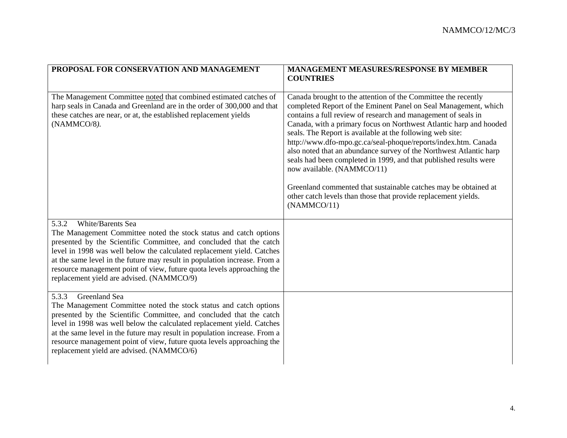| PROPOSAL FOR CONSERVATION AND MANAGEMENT                                                                                                                                                                                                                                                                                                                                                                                                             | <b>MANAGEMENT MEASURES/RESPONSE BY MEMBER</b><br><b>COUNTRIES</b>                                                                                                                                                                                                                                                                                                                                                                                                                                                                                                                                                                                                                                                                   |
|------------------------------------------------------------------------------------------------------------------------------------------------------------------------------------------------------------------------------------------------------------------------------------------------------------------------------------------------------------------------------------------------------------------------------------------------------|-------------------------------------------------------------------------------------------------------------------------------------------------------------------------------------------------------------------------------------------------------------------------------------------------------------------------------------------------------------------------------------------------------------------------------------------------------------------------------------------------------------------------------------------------------------------------------------------------------------------------------------------------------------------------------------------------------------------------------------|
| The Management Committee noted that combined estimated catches of<br>harp seals in Canada and Greenland are in the order of 300,000 and that<br>these catches are near, or at, the established replacement yields<br>(NAMMCO/8).                                                                                                                                                                                                                     | Canada brought to the attention of the Committee the recently<br>completed Report of the Eminent Panel on Seal Management, which<br>contains a full review of research and management of seals in<br>Canada, with a primary focus on Northwest Atlantic harp and hooded<br>seals. The Report is available at the following web site:<br>http://www.dfo-mpo.gc.ca/seal-phoque/reports/index.htm. Canada<br>also noted that an abundance survey of the Northwest Atlantic harp<br>seals had been completed in 1999, and that published results were<br>now available. (NAMMCO/11)<br>Greenland commented that sustainable catches may be obtained at<br>other catch levels than those that provide replacement yields.<br>(NAMMCO/11) |
| White/Barents Sea<br>5.3.2<br>The Management Committee noted the stock status and catch options<br>presented by the Scientific Committee, and concluded that the catch<br>level in 1998 was well below the calculated replacement yield. Catches<br>at the same level in the future may result in population increase. From a<br>resource management point of view, future quota levels approaching the<br>replacement yield are advised. (NAMMCO/9) |                                                                                                                                                                                                                                                                                                                                                                                                                                                                                                                                                                                                                                                                                                                                     |
| Greenland Sea<br>5.3.3<br>The Management Committee noted the stock status and catch options<br>presented by the Scientific Committee, and concluded that the catch<br>level in 1998 was well below the calculated replacement yield. Catches<br>at the same level in the future may result in population increase. From a<br>resource management point of view, future quota levels approaching the<br>replacement yield are advised. (NAMMCO/6)     |                                                                                                                                                                                                                                                                                                                                                                                                                                                                                                                                                                                                                                                                                                                                     |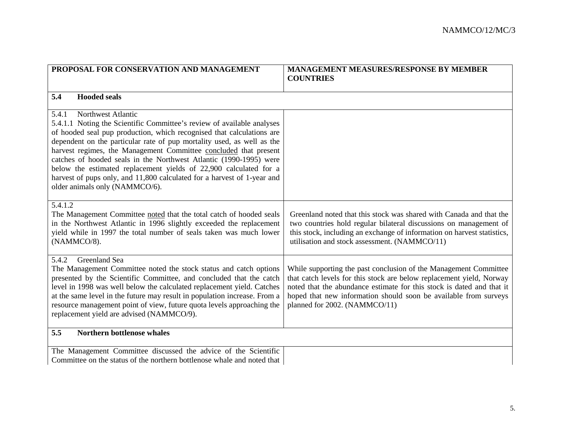| PROPOSAL FOR CONSERVATION AND MANAGEMENT                                                                                                                                                                                                                                                                                                                                                                                                                                                                                                                                             | <b>MANAGEMENT MEASURES/RESPONSE BY MEMBER</b><br><b>COUNTRIES</b>                                                                                                                                                                                                                                                      |
|--------------------------------------------------------------------------------------------------------------------------------------------------------------------------------------------------------------------------------------------------------------------------------------------------------------------------------------------------------------------------------------------------------------------------------------------------------------------------------------------------------------------------------------------------------------------------------------|------------------------------------------------------------------------------------------------------------------------------------------------------------------------------------------------------------------------------------------------------------------------------------------------------------------------|
| 5.4<br><b>Hooded seals</b>                                                                                                                                                                                                                                                                                                                                                                                                                                                                                                                                                           |                                                                                                                                                                                                                                                                                                                        |
| 5.4.1<br>Northwest Atlantic<br>5.4.1.1 Noting the Scientific Committee's review of available analyses<br>of hooded seal pup production, which recognised that calculations are<br>dependent on the particular rate of pup mortality used, as well as the<br>harvest regimes, the Management Committee concluded that present<br>catches of hooded seals in the Northwest Atlantic (1990-1995) were<br>below the estimated replacement yields of 22,900 calculated for a<br>harvest of pups only, and 11,800 calculated for a harvest of 1-year and<br>older animals only (NAMMCO/6). |                                                                                                                                                                                                                                                                                                                        |
| 5.4.1.2<br>The Management Committee noted that the total catch of hooded seals<br>in the Northwest Atlantic in 1996 slightly exceeded the replacement<br>yield while in 1997 the total number of seals taken was much lower<br>(NAMMCO/8).                                                                                                                                                                                                                                                                                                                                           | Greenland noted that this stock was shared with Canada and that the<br>two countries hold regular bilateral discussions on management of<br>this stock, including an exchange of information on harvest statistics,<br>utilisation and stock assessment. (NAMMCO/11)                                                   |
| 5.4.2<br>Greenland Sea<br>The Management Committee noted the stock status and catch options<br>presented by the Scientific Committee, and concluded that the catch<br>level in 1998 was well below the calculated replacement yield. Catches<br>at the same level in the future may result in population increase. From a<br>resource management point of view, future quota levels approaching the<br>replacement yield are advised (NAMMCO/9).                                                                                                                                     | While supporting the past conclusion of the Management Committee<br>that catch levels for this stock are below replacement yield, Norway<br>noted that the abundance estimate for this stock is dated and that it<br>hoped that new information should soon be available from surveys<br>planned for 2002. (NAMMCO/11) |
| <b>Northern bottlenose whales</b><br>5.5                                                                                                                                                                                                                                                                                                                                                                                                                                                                                                                                             |                                                                                                                                                                                                                                                                                                                        |
| The Management Committee discussed the advice of the Scientific<br>Committee on the status of the northern bottlenose whale and noted that                                                                                                                                                                                                                                                                                                                                                                                                                                           |                                                                                                                                                                                                                                                                                                                        |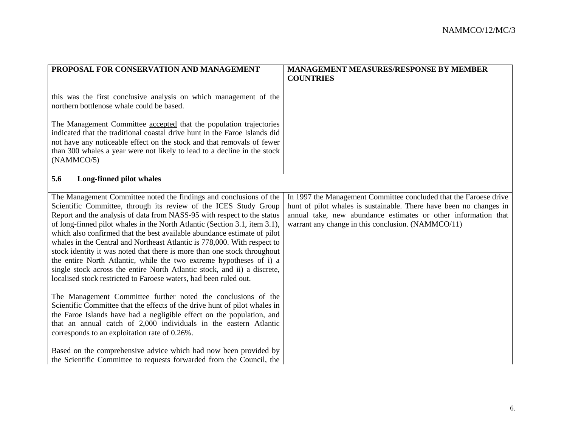| PROPOSAL FOR CONSERVATION AND MANAGEMENT                                                                                                             | MANAGEMENT MEASURES/RESPONSE BY MEMBER                             |
|------------------------------------------------------------------------------------------------------------------------------------------------------|--------------------------------------------------------------------|
|                                                                                                                                                      | <b>COUNTRIES</b>                                                   |
|                                                                                                                                                      |                                                                    |
| this was the first conclusive analysis on which management of the                                                                                    |                                                                    |
| northern bottlenose whale could be based.                                                                                                            |                                                                    |
| The Management Committee accepted that the population trajectories                                                                                   |                                                                    |
| indicated that the traditional coastal drive hunt in the Faroe Islands did                                                                           |                                                                    |
| not have any noticeable effect on the stock and that removals of fewer                                                                               |                                                                    |
| than 300 whales a year were not likely to lead to a decline in the stock                                                                             |                                                                    |
| (NAMMCO/5)                                                                                                                                           |                                                                    |
|                                                                                                                                                      |                                                                    |
| 5.6<br>Long-finned pilot whales                                                                                                                      |                                                                    |
| The Management Committee noted the findings and conclusions of the                                                                                   | In 1997 the Management Committee concluded that the Faroese drive  |
| Scientific Committee, through its review of the ICES Study Group                                                                                     | hunt of pilot whales is sustainable. There have been no changes in |
| Report and the analysis of data from NASS-95 with respect to the status                                                                              | annual take, new abundance estimates or other information that     |
| of long-finned pilot whales in the North Atlantic (Section 3.1, item 3.1),                                                                           | warrant any change in this conclusion. (NAMMCO/11)                 |
| which also confirmed that the best available abundance estimate of pilot                                                                             |                                                                    |
| whales in the Central and Northeast Atlantic is 778,000. With respect to<br>stock identity it was noted that there is more than one stock throughout |                                                                    |
| the entire North Atlantic, while the two extreme hypotheses of i) a                                                                                  |                                                                    |
| single stock across the entire North Atlantic stock, and ii) a discrete,                                                                             |                                                                    |
| localised stock restricted to Faroese waters, had been ruled out.                                                                                    |                                                                    |
|                                                                                                                                                      |                                                                    |
| The Management Committee further noted the conclusions of the                                                                                        |                                                                    |
| Scientific Committee that the effects of the drive hunt of pilot whales in                                                                           |                                                                    |
| the Faroe Islands have had a negligible effect on the population, and<br>that an annual catch of 2,000 individuals in the eastern Atlantic           |                                                                    |
| corresponds to an exploitation rate of 0.26%.                                                                                                        |                                                                    |
|                                                                                                                                                      |                                                                    |
| Based on the comprehensive advice which had now been provided by                                                                                     |                                                                    |
| the Scientific Committee to requests forwarded from the Council, the                                                                                 |                                                                    |
|                                                                                                                                                      |                                                                    |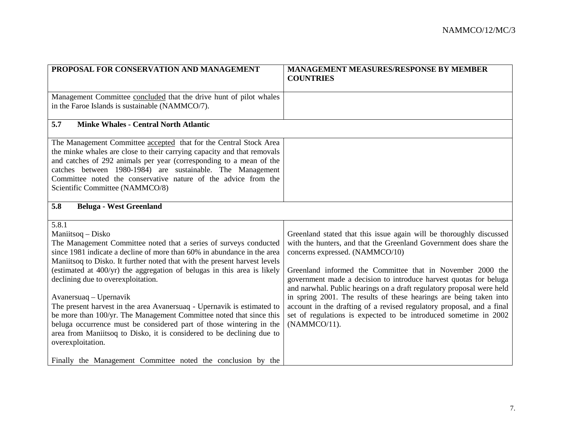| PROPOSAL FOR CONSERVATION AND MANAGEMENT                                                                                                                                                                                                                                                                                                                                               | <b>MANAGEMENT MEASURES/RESPONSE BY MEMBER</b><br><b>COUNTRIES</b>                                                                          |
|----------------------------------------------------------------------------------------------------------------------------------------------------------------------------------------------------------------------------------------------------------------------------------------------------------------------------------------------------------------------------------------|--------------------------------------------------------------------------------------------------------------------------------------------|
|                                                                                                                                                                                                                                                                                                                                                                                        |                                                                                                                                            |
| Management Committee concluded that the drive hunt of pilot whales<br>in the Faroe Islands is sustainable (NAMMCO/7).                                                                                                                                                                                                                                                                  |                                                                                                                                            |
|                                                                                                                                                                                                                                                                                                                                                                                        |                                                                                                                                            |
| 5.7<br><b>Minke Whales - Central North Atlantic</b>                                                                                                                                                                                                                                                                                                                                    |                                                                                                                                            |
| The Management Committee accepted that for the Central Stock Area<br>the minke whales are close to their carrying capacity and that removals<br>and catches of 292 animals per year (corresponding to a mean of the<br>catches between 1980-1984) are sustainable. The Management<br>Committee noted the conservative nature of the advice from the<br>Scientific Committee (NAMMCO/8) |                                                                                                                                            |
| 5.8<br><b>Beluga - West Greenland</b>                                                                                                                                                                                                                                                                                                                                                  |                                                                                                                                            |
| 5.8.1                                                                                                                                                                                                                                                                                                                                                                                  |                                                                                                                                            |
| Maniitsoq - Disko                                                                                                                                                                                                                                                                                                                                                                      | Greenland stated that this issue again will be thoroughly discussed                                                                        |
| The Management Committee noted that a series of surveys conducted<br>since 1981 indicate a decline of more than 60% in abundance in the area                                                                                                                                                                                                                                           | with the hunters, and that the Greenland Government does share the<br>concerns expressed. (NAMMCO/10)                                      |
| Maniitsoq to Disko. It further noted that with the present harvest levels                                                                                                                                                                                                                                                                                                              |                                                                                                                                            |
| (estimated at 400/yr) the aggregation of belugas in this area is likely                                                                                                                                                                                                                                                                                                                | Greenland informed the Committee that in November 2000 the                                                                                 |
| declining due to overexploitation.                                                                                                                                                                                                                                                                                                                                                     | government made a decision to introduce harvest quotas for beluga<br>and narwhal. Public hearings on a draft regulatory proposal were held |
| Avanersuaq – Upernavik                                                                                                                                                                                                                                                                                                                                                                 | in spring 2001. The results of these hearings are being taken into                                                                         |
| The present harvest in the area Avanersuaq - Upernavik is estimated to                                                                                                                                                                                                                                                                                                                 | account in the drafting of a revised regulatory proposal, and a final                                                                      |
| be more than 100/yr. The Management Committee noted that since this                                                                                                                                                                                                                                                                                                                    | set of regulations is expected to be introduced sometime in 2002                                                                           |
| beluga occurrence must be considered part of those wintering in the                                                                                                                                                                                                                                                                                                                    | (NAMMCO/11).                                                                                                                               |
| area from Maniitsoq to Disko, it is considered to be declining due to                                                                                                                                                                                                                                                                                                                  |                                                                                                                                            |
| overexploitation.                                                                                                                                                                                                                                                                                                                                                                      |                                                                                                                                            |
| Finally the Management Committee noted the conclusion by the                                                                                                                                                                                                                                                                                                                           |                                                                                                                                            |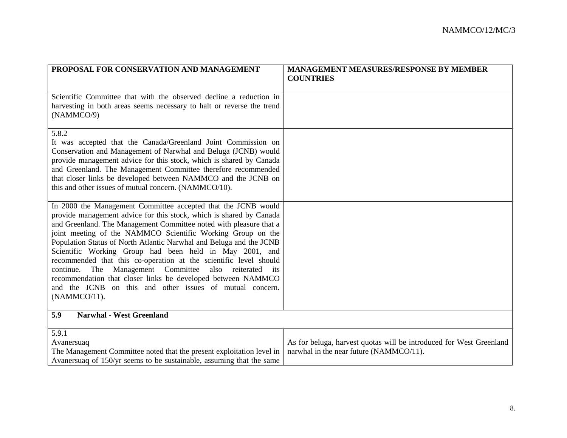| PROPOSAL FOR CONSERVATION AND MANAGEMENT                                                                                                                                                                                                                                                                                                                                                                                                                                                                                                                                                                                                                                                           | <b>MANAGEMENT MEASURES/RESPONSE BY MEMBER</b><br><b>COUNTRIES</b>                                              |
|----------------------------------------------------------------------------------------------------------------------------------------------------------------------------------------------------------------------------------------------------------------------------------------------------------------------------------------------------------------------------------------------------------------------------------------------------------------------------------------------------------------------------------------------------------------------------------------------------------------------------------------------------------------------------------------------------|----------------------------------------------------------------------------------------------------------------|
|                                                                                                                                                                                                                                                                                                                                                                                                                                                                                                                                                                                                                                                                                                    |                                                                                                                |
| Scientific Committee that with the observed decline a reduction in<br>harvesting in both areas seems necessary to halt or reverse the trend<br>(NAMMCO/9)                                                                                                                                                                                                                                                                                                                                                                                                                                                                                                                                          |                                                                                                                |
| 5.8.2<br>It was accepted that the Canada/Greenland Joint Commission on<br>Conservation and Management of Narwhal and Beluga (JCNB) would<br>provide management advice for this stock, which is shared by Canada<br>and Greenland. The Management Committee therefore recommended<br>that closer links be developed between NAMMCO and the JCNB on<br>this and other issues of mutual concern. (NAMMCO/10).                                                                                                                                                                                                                                                                                         |                                                                                                                |
| In 2000 the Management Committee accepted that the JCNB would<br>provide management advice for this stock, which is shared by Canada<br>and Greenland. The Management Committee noted with pleasure that a<br>joint meeting of the NAMMCO Scientific Working Group on the<br>Population Status of North Atlantic Narwhal and Beluga and the JCNB<br>Scientific Working Group had been held in May 2001, and<br>recommended that this co-operation at the scientific level should<br>The<br>Management Committee<br>continue.<br>also reiterated<br>its<br>recommendation that closer links be developed between NAMMCO<br>and the JCNB on this and other issues of mutual concern.<br>(NAMMCO/11). |                                                                                                                |
| 5.9<br><b>Narwhal - West Greenland</b>                                                                                                                                                                                                                                                                                                                                                                                                                                                                                                                                                                                                                                                             |                                                                                                                |
| 5.9.1<br>Avanersuaq<br>The Management Committee noted that the present exploitation level in<br>Avanersuag of 150/yr seems to be sustainable, assuming that the same                                                                                                                                                                                                                                                                                                                                                                                                                                                                                                                               | As for beluga, harvest quotas will be introduced for West Greenland<br>narwhal in the near future (NAMMCO/11). |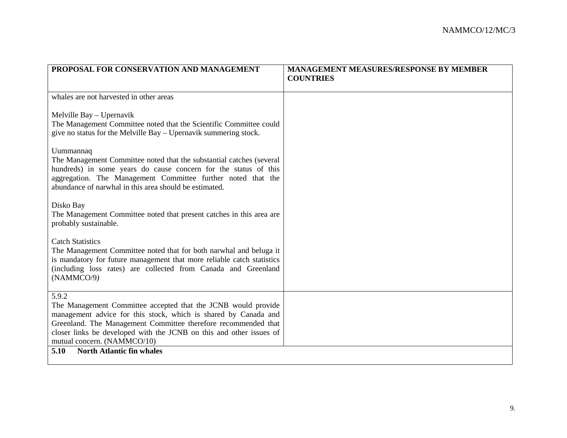| PROPOSAL FOR CONSERVATION AND MANAGEMENT                                                                                                                                                                                                                                                                          | <b>MANAGEMENT MEASURES/RESPONSE BY MEMBER</b><br><b>COUNTRIES</b> |
|-------------------------------------------------------------------------------------------------------------------------------------------------------------------------------------------------------------------------------------------------------------------------------------------------------------------|-------------------------------------------------------------------|
|                                                                                                                                                                                                                                                                                                                   |                                                                   |
| whales are not harvested in other areas                                                                                                                                                                                                                                                                           |                                                                   |
| Melville Bay - Upernavik<br>The Management Committee noted that the Scientific Committee could<br>give no status for the Melville Bay – Upernavik summering stock.                                                                                                                                                |                                                                   |
| Uummannaq<br>The Management Committee noted that the substantial catches (several<br>hundreds) in some years do cause concern for the status of this<br>aggregation. The Management Committee further noted that the<br>abundance of narwhal in this area should be estimated.                                    |                                                                   |
| Disko Bay<br>The Management Committee noted that present catches in this area are<br>probably sustainable.                                                                                                                                                                                                        |                                                                   |
| <b>Catch Statistics</b><br>The Management Committee noted that for both narwhal and beluga it<br>is mandatory for future management that more reliable catch statistics<br>(including loss rates) are collected from Canada and Greenland<br>(NAMMCO/9)                                                           |                                                                   |
| 5.9.2<br>The Management Committee accepted that the JCNB would provide<br>management advice for this stock, which is shared by Canada and<br>Greenland. The Management Committee therefore recommended that<br>closer links be developed with the JCNB on this and other issues of<br>mutual concern. (NAMMCO/10) |                                                                   |
| 5.10<br><b>North Atlantic fin whales</b>                                                                                                                                                                                                                                                                          |                                                                   |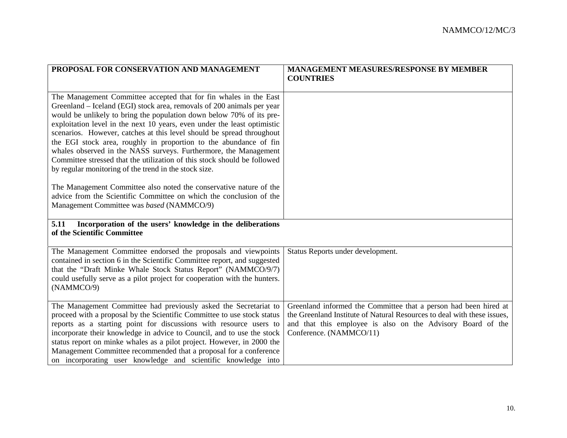| PROPOSAL FOR CONSERVATION AND MANAGEMENT                                                                                                                                                                                                                                                                                                                                                                                                                                                                                                                                                                                                                                                                                                                                                                                                         | <b>MANAGEMENT MEASURES/RESPONSE BY MEMBER</b>                                                                                                                                                                                         |
|--------------------------------------------------------------------------------------------------------------------------------------------------------------------------------------------------------------------------------------------------------------------------------------------------------------------------------------------------------------------------------------------------------------------------------------------------------------------------------------------------------------------------------------------------------------------------------------------------------------------------------------------------------------------------------------------------------------------------------------------------------------------------------------------------------------------------------------------------|---------------------------------------------------------------------------------------------------------------------------------------------------------------------------------------------------------------------------------------|
|                                                                                                                                                                                                                                                                                                                                                                                                                                                                                                                                                                                                                                                                                                                                                                                                                                                  | <b>COUNTRIES</b>                                                                                                                                                                                                                      |
| The Management Committee accepted that for fin whales in the East<br>Greenland – Iceland (EGI) stock area, removals of 200 animals per year<br>would be unlikely to bring the population down below 70% of its pre-<br>exploitation level in the next 10 years, even under the least optimistic<br>scenarios. However, catches at this level should be spread throughout<br>the EGI stock area, roughly in proportion to the abundance of fin<br>whales observed in the NASS surveys. Furthermore, the Management<br>Committee stressed that the utilization of this stock should be followed<br>by regular monitoring of the trend in the stock size.<br>The Management Committee also noted the conservative nature of the<br>advice from the Scientific Committee on which the conclusion of the<br>Management Committee was based (NAMMCO/9) |                                                                                                                                                                                                                                       |
| 5.11<br>Incorporation of the users' knowledge in the deliberations<br>of the Scientific Committee                                                                                                                                                                                                                                                                                                                                                                                                                                                                                                                                                                                                                                                                                                                                                |                                                                                                                                                                                                                                       |
| The Management Committee endorsed the proposals and viewpoints<br>contained in section 6 in the Scientific Committee report, and suggested<br>that the "Draft Minke Whale Stock Status Report" (NAMMCO/9/7)<br>could usefully serve as a pilot project for cooperation with the hunters.<br>(NAMMCO/9)                                                                                                                                                                                                                                                                                                                                                                                                                                                                                                                                           | Status Reports under development.                                                                                                                                                                                                     |
| The Management Committee had previously asked the Secretariat to<br>proceed with a proposal by the Scientific Committee to use stock status<br>reports as a starting point for discussions with resource users to<br>incorporate their knowledge in advice to Council, and to use the stock<br>status report on minke whales as a pilot project. However, in 2000 the<br>Management Committee recommended that a proposal for a conference<br>on incorporating user knowledge and scientific knowledge into                                                                                                                                                                                                                                                                                                                                      | Greenland informed the Committee that a person had been hired at<br>the Greenland Institute of Natural Resources to deal with these issues,<br>and that this employee is also on the Advisory Board of the<br>Conference. (NAMMCO/11) |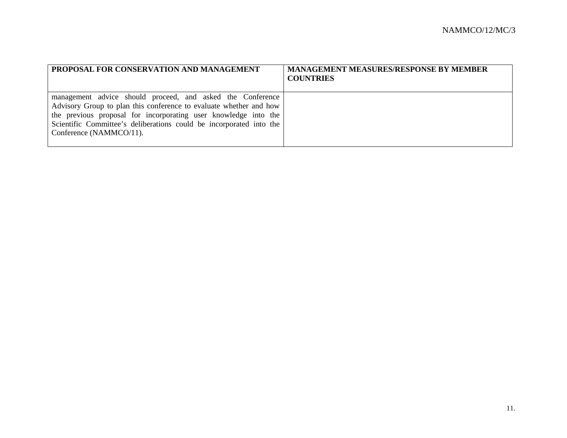| PROPOSAL FOR CONSERVATION AND MANAGEMENT                                                                                                                                                                                                                                                              | <b>MANAGEMENT MEASURES/RESPONSE BY MEMBER</b><br><b>COUNTRIES</b> |
|-------------------------------------------------------------------------------------------------------------------------------------------------------------------------------------------------------------------------------------------------------------------------------------------------------|-------------------------------------------------------------------|
| management advice should proceed, and asked the Conference<br>Advisory Group to plan this conference to evaluate whether and how<br>the previous proposal for incorporating user knowledge into the<br>Scientific Committee's deliberations could be incorporated into the<br>Conference (NAMMCO/11). |                                                                   |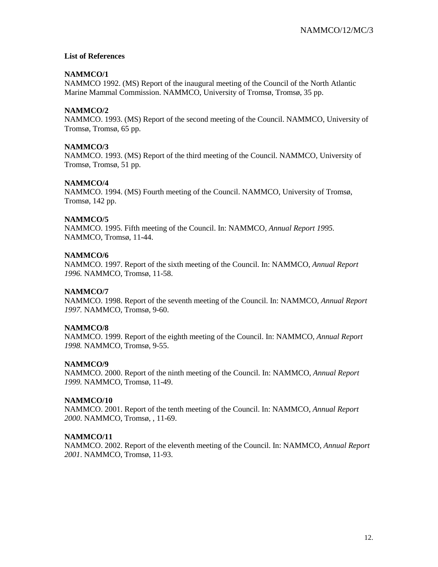#### **List of References**

#### **NAMMCO/1**

NAMMCO 1992. (MS) Report of the inaugural meeting of the Council of the North Atlantic Marine Mammal Commission. NAMMCO, University of Tromsø, Tromsø, 35 pp.

#### **NAMMCO/2**

NAMMCO. 1993. (MS) Report of the second meeting of the Council. NAMMCO, University of Tromsø, Tromsø, 65 pp.

#### **NAMMCO/3**

NAMMCO. 1993. (MS) Report of the third meeting of the Council. NAMMCO, University of Tromsø, Tromsø, 51 pp.

#### **NAMMCO/4**

NAMMCO. 1994. (MS) Fourth meeting of the Council. NAMMCO, University of Tromsø, Tromsø, 142 pp.

#### **NAMMCO/5**

NAMMCO. 1995. Fifth meeting of the Council. In: NAMMCO, *Annual Report 1995.* NAMMCO, Tromsø, 11-44.

#### **NAMMCO/6**

NAMMCO. 1997. Report of the sixth meeting of the Council. In: NAMMCO, *Annual Report 1996.* NAMMCO, Tromsø, 11-58.

#### **NAMMCO/7**

NAMMCO. 1998. Report of the seventh meeting of the Council. In: NAMMCO, *Annual Report 1997.* NAMMCO, Tromsø, 9-60.

#### **NAMMCO/8**

NAMMCO. 1999. Report of the eighth meeting of the Council. In: NAMMCO, *Annual Report 1998.* NAMMCO, Tromsø, 9-55.

#### **NAMMCO/9**

NAMMCO. 2000. Report of the ninth meeting of the Council. In: NAMMCO, *Annual Report 1999.* NAMMCO, Tromsø, 11-49.

#### **NAMMCO/10**

NAMMCO. 2001. Report of the tenth meeting of the Council. In: NAMMCO, *Annual Report 2000*. NAMMCO, Tromsø, , 11-69.

#### **NAMMCO/11**

NAMMCO. 2002. Report of the eleventh meeting of the Council. In: NAMMCO, *Annual Report 2001*. NAMMCO, Tromsø, 11-93.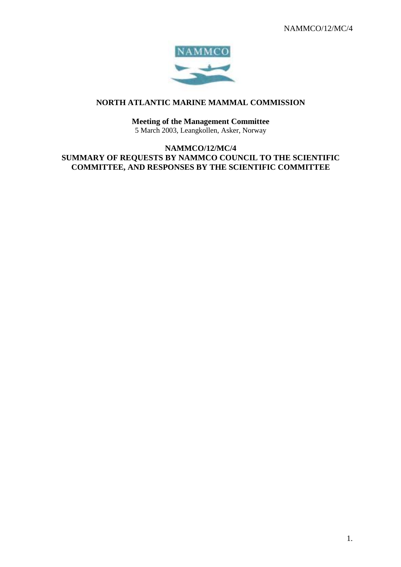

## **NORTH ATLANTIC MARINE MAMMAL COMMISSION**

## **Meeting of the Management Committee**

5 March 2003, Leangkollen, Asker, Norway

**NAMMCO/12/MC/4 SUMMARY OF REQUESTS BY NAMMCO COUNCIL TO THE SCIENTIFIC COMMITTEE, AND RESPONSES BY THE SCIENTIFIC COMMITTEE**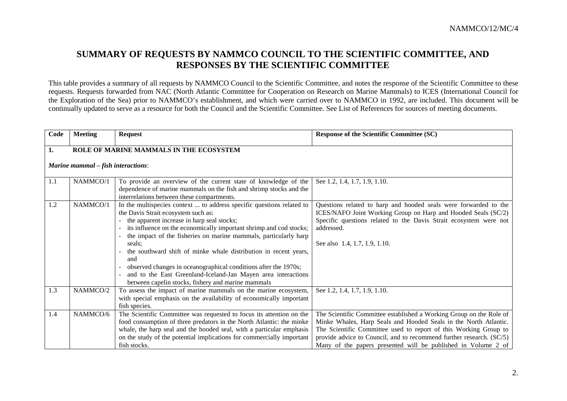## **SUMMARY OF REQUESTS BY NAMMCO COUNCIL TO THE SCIENTIFIC COMMITTEE, AND RESPONSES BY THE SCIENTIFIC COMMITTEE**

This table provides a summary of all requests by NAMMCO Council to the Scientific Committee, and notes the response of the Scientific Committee to these requests. Requests forwarded from NAC (North Atlantic Committee for Cooperation on Research on Marine Mammals) to ICES (International Council for the Exploration of the Sea) prior to NAMMCO's establishment, and which were carried over to NAMMCO in 1992, are included. This document will be continually updated to serve as a resource for both the Council and the Scientific Committee. See List of References for sources of meeting documents.

| Code | <b>Meeting</b>                            | <b>Request</b>                                                                                               | <b>Response of the Scientific Committee (SC)</b>                                                                                  |
|------|-------------------------------------------|--------------------------------------------------------------------------------------------------------------|-----------------------------------------------------------------------------------------------------------------------------------|
| 1.   |                                           | <b>ROLE OF MARINE MAMMALS IN THE ECOSYSTEM</b>                                                               |                                                                                                                                   |
|      |                                           |                                                                                                              |                                                                                                                                   |
|      | <b>Marine mammal</b> – fish interactions: |                                                                                                              |                                                                                                                                   |
| 1.1  | NAMMCO/1                                  | To provide an overview of the current state of knowledge of the                                              | See 1.2, 1.4, 1.7, 1.9, 1.10.                                                                                                     |
|      |                                           | dependence of marine mammals on the fish and shrimp stocks and the                                           |                                                                                                                                   |
|      |                                           | interrelations between these compartments.                                                                   |                                                                                                                                   |
| 1.2  | NAMMCO/1                                  | In the multispecies context  to address specific questions related to<br>the Davis Strait ecosystem such as: | Questions related to harp and hooded seals were forwarded to the<br>ICES/NAFO Joint Working Group on Harp and Hooded Seals (SC/2) |
|      |                                           | the apparent increase in harp seal stocks;                                                                   | Specific questions related to the Davis Strait ecosystem were not                                                                 |
|      |                                           | its influence on the economically important shrimp and cod stocks;                                           | addressed.                                                                                                                        |
|      |                                           | the impact of the fisheries on marine mammals, particularly harp                                             |                                                                                                                                   |
|      |                                           | seals:                                                                                                       | See also 1.4, 1.7, 1.9, 1.10.                                                                                                     |
|      |                                           | the southward shift of minke whale distribution in recent years,                                             |                                                                                                                                   |
|      |                                           | and                                                                                                          |                                                                                                                                   |
|      |                                           | observed changes in oceanographical conditions after the 1970s;                                              |                                                                                                                                   |
|      |                                           | and to the East Greenland-Iceland-Jan Mayen area interactions                                                |                                                                                                                                   |
|      |                                           | between capelin stocks, fishery and marine mammals                                                           |                                                                                                                                   |
| 1.3  | NAMMCO/2                                  | To assess the impact of marine mammals on the marine ecosystem,                                              | See 1.2, 1.4, 1.7, 1.9, 1.10.                                                                                                     |
|      |                                           | with special emphasis on the availability of economically important                                          |                                                                                                                                   |
|      |                                           | fish species.                                                                                                |                                                                                                                                   |
| 1.4  | NAMMCO/6                                  | The Scientific Committee was requested to focus its attention on the                                         | The Scientific Committee established a Working Group on the Role of                                                               |
|      |                                           | food consumption of three predators in the North Atlantic: the minke                                         | Minke Whales, Harp Seals and Hooded Seals in the North Atlantic.                                                                  |
|      |                                           | whale, the harp seal and the hooded seal, with a particular emphasis                                         | The Scientific Committee used to report of this Working Group to                                                                  |
|      |                                           | on the study of the potential implications for commercially important                                        | provide advice to Council, and to recommend further research. (SC/5)                                                              |
|      |                                           | fish stocks.                                                                                                 | Many of the papers presented will be published in Volume 2 of                                                                     |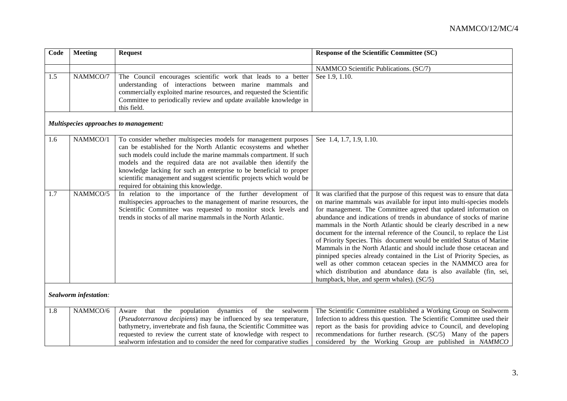| Code | <b>Meeting</b>        | <b>Request</b>                                                                                                                                                                                                                                                                                                                                                                                                                                                        | <b>Response of the Scientific Committee (SC)</b>                                                                                                                                                                                                                                                                                                                                                                                                                                                                                                                                                                                                                                                                                                                                                                                                           |
|------|-----------------------|-----------------------------------------------------------------------------------------------------------------------------------------------------------------------------------------------------------------------------------------------------------------------------------------------------------------------------------------------------------------------------------------------------------------------------------------------------------------------|------------------------------------------------------------------------------------------------------------------------------------------------------------------------------------------------------------------------------------------------------------------------------------------------------------------------------------------------------------------------------------------------------------------------------------------------------------------------------------------------------------------------------------------------------------------------------------------------------------------------------------------------------------------------------------------------------------------------------------------------------------------------------------------------------------------------------------------------------------|
|      |                       |                                                                                                                                                                                                                                                                                                                                                                                                                                                                       | NAMMCO Scientific Publications. (SC/7)                                                                                                                                                                                                                                                                                                                                                                                                                                                                                                                                                                                                                                                                                                                                                                                                                     |
| 1.5  | NAMMCO/7              | The Council encourages scientific work that leads to a better<br>understanding of interactions between marine mammals and<br>commercially exploited marine resources, and requested the Scientific<br>Committee to periodically review and update available knowledge in<br>this field.                                                                                                                                                                               | See 1.9, 1.10.                                                                                                                                                                                                                                                                                                                                                                                                                                                                                                                                                                                                                                                                                                                                                                                                                                             |
|      |                       | Multispecies approaches to management:                                                                                                                                                                                                                                                                                                                                                                                                                                |                                                                                                                                                                                                                                                                                                                                                                                                                                                                                                                                                                                                                                                                                                                                                                                                                                                            |
| 1.6  | NAMMCO/1              | To consider whether multispecies models for management purposes<br>can be established for the North Atlantic ecosystems and whether<br>such models could include the marine mammals compartment. If such<br>models and the required data are not available then identify the<br>knowledge lacking for such an enterprise to be beneficial to proper<br>scientific management and suggest scientific projects which would be<br>required for obtaining this knowledge. | See 1.4, 1.7, 1.9, 1.10.                                                                                                                                                                                                                                                                                                                                                                                                                                                                                                                                                                                                                                                                                                                                                                                                                                   |
| 1.7  | NAMMCO/5              | In relation to the importance of the further development of<br>multispecies approaches to the management of marine resources, the<br>Scientific Committee was requested to monitor stock levels and<br>trends in stocks of all marine mammals in the North Atlantic.                                                                                                                                                                                                  | It was clarified that the purpose of this request was to ensure that data<br>on marine mammals was available for input into multi-species models<br>for management. The Committee agreed that updated information on<br>abundance and indications of trends in abundance of stocks of marine<br>mammals in the North Atlantic should be clearly described in a new<br>document for the internal reference of the Council, to replace the List<br>of Priority Species. This document would be entitled Status of Marine<br>Mammals in the North Atlantic and should include those cetacean and<br>pinniped species already contained in the List of Priority Species, as<br>well as other common cetacean species in the NAMMCO area for<br>which distribution and abundance data is also available (fin, sei,<br>humpback, blue, and sperm whales). (SC/5) |
|      | Sealworm infestation: |                                                                                                                                                                                                                                                                                                                                                                                                                                                                       |                                                                                                                                                                                                                                                                                                                                                                                                                                                                                                                                                                                                                                                                                                                                                                                                                                                            |
| 1.8  | NAMMCO/6              | population<br>dynamics<br>of the<br>that the<br>sealworm<br>Aware<br>(Pseudoterranova decipiens) may be influenced by sea temperature,<br>bathymetry, invertebrate and fish fauna, the Scientific Committee was<br>requested to review the current state of knowledge with respect to<br>sealworm infestation and to consider the need for comparative studies                                                                                                        | The Scientific Committee established a Working Group on Sealworm<br>Infection to address this question. The Scientific Committee used their<br>report as the basis for providing advice to Council, and developing<br>recommendations for further research. (SC/5) Many of the papers<br>considered by the Working Group are published in NAMMCO                                                                                                                                                                                                                                                                                                                                                                                                                                                                                                           |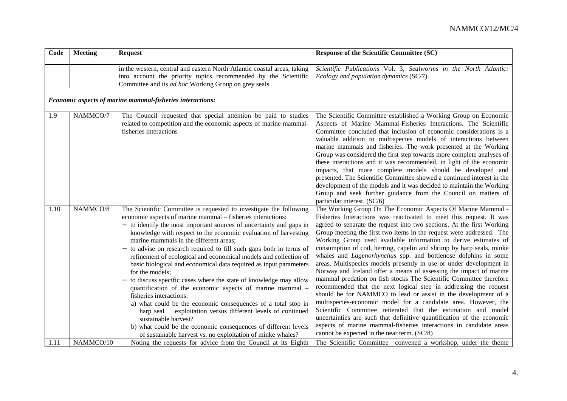| Code | <b>Meeting</b> | <b>Request</b>                                                                                                                                                                                                                                                                                                                                                                                                                                                                                                                                                                                                                                                                                                                                                                                                                                                                                                                                    | Response of the Scientific Committee (SC)                                                                                                                                                                                                                                                                                                                                                                                                                                                                                                                                                                                                                                                                                                                                                                                                                                                                                                                                                                                                                                                                                                                                                           |
|------|----------------|---------------------------------------------------------------------------------------------------------------------------------------------------------------------------------------------------------------------------------------------------------------------------------------------------------------------------------------------------------------------------------------------------------------------------------------------------------------------------------------------------------------------------------------------------------------------------------------------------------------------------------------------------------------------------------------------------------------------------------------------------------------------------------------------------------------------------------------------------------------------------------------------------------------------------------------------------|-----------------------------------------------------------------------------------------------------------------------------------------------------------------------------------------------------------------------------------------------------------------------------------------------------------------------------------------------------------------------------------------------------------------------------------------------------------------------------------------------------------------------------------------------------------------------------------------------------------------------------------------------------------------------------------------------------------------------------------------------------------------------------------------------------------------------------------------------------------------------------------------------------------------------------------------------------------------------------------------------------------------------------------------------------------------------------------------------------------------------------------------------------------------------------------------------------|
|      |                | in the western, central and eastern North Atlantic coastal areas, taking<br>into account the priority topics recommended by the Scientific<br>Committee and its <i>ad hoc</i> Working Group on grey seals.                                                                                                                                                                                                                                                                                                                                                                                                                                                                                                                                                                                                                                                                                                                                        | Scientific Publications Vol. 3, Sealworms in the North Atlantic:<br>Ecology and population dynamics (SC/7).                                                                                                                                                                                                                                                                                                                                                                                                                                                                                                                                                                                                                                                                                                                                                                                                                                                                                                                                                                                                                                                                                         |
|      |                | Economic aspects of marine mammal-fisheries interactions:                                                                                                                                                                                                                                                                                                                                                                                                                                                                                                                                                                                                                                                                                                                                                                                                                                                                                         |                                                                                                                                                                                                                                                                                                                                                                                                                                                                                                                                                                                                                                                                                                                                                                                                                                                                                                                                                                                                                                                                                                                                                                                                     |
| 1.9  | NAMMCO/7       | The Council requested that special attention be paid to studies<br>related to competition and the economic aspects of marine mammal-<br>fisheries interactions                                                                                                                                                                                                                                                                                                                                                                                                                                                                                                                                                                                                                                                                                                                                                                                    | The Scientific Committee established a Working Group on Economic<br>Aspects of Marine Mammal-Fisheries Interactions. The Scientific<br>Committee concluded that inclusion of economic considerations is a<br>valuable addition to multispecies models of interactions between<br>marine mammals and fisheries. The work presented at the Working<br>Group was considered the first step towards more complete analyses of<br>these interactions and it was recommended, in light of the economic<br>impacts, that more complete models should be developed and<br>presented. The Scientific Committee showed a continued interest in the<br>development of the models and it was decided to maintain the Working<br>Group and seek further guidance from the Council on matters of<br>particular interest. (SC/6)                                                                                                                                                                                                                                                                                                                                                                                   |
| 1.10 | NAMMCO/8       | The Scientific Committee is requested to investigate the following<br>economic aspects of marine mammal – fisheries interactions:<br>- to identify the most important sources of uncertainty and gaps in<br>knowledge with respect to the economic evaluation of harvesting<br>marine mammals in the different areas;<br>- to advise on research required to fill such gaps both in terms of<br>refinement of ecological and economical models and collection of<br>basic biological and economical data required as input parameters<br>for the models;<br>to discuss specific cases where the state of knowledge may allow<br>quantification of the economic aspects of marine mammal -<br>fisheries interactions:<br>a) what could be the economic consequences of a total stop in<br>exploitation versus different levels of continued<br>harp seal<br>sustainable harvest?<br>b) what could be the economic consequences of different levels | The Working Group On The Economic Aspects Of Marine Mammal -<br>Fisheries Interactions was reactivated to meet this request. It was<br>agreed to separate the request into two sections. At the first Working<br>Group meeting the first two items in the request were addressed. The<br>Working Group used available information to derive estimates of<br>consumption of cod, herring, capelin and shrimp by harp seals, minke<br>whales and <i>Lagenorhynchus</i> spp. and bottlenose dolphins in some<br>areas. Multispecies models presently in use or under development in<br>Norway and Iceland offer a means of assessing the impact of marine<br>mammal predation on fish stocks The Scientific Committee therefore<br>recommended that the next logical step in addressing the request<br>should be for NAMMCO to lead or assist in the development of a<br>multispecies-economic model for a candidate area. However, the<br>Scientific Committee reiterated that the estimation and model<br>uncertainties are such that definitive quantification of the economic<br>aspects of marine mammal-fisheries interactions in candidate areas<br>cannot be expected in the near term. (SC/8) |
| 1.11 | NAMMCO/10      | of sustainable harvest vs. no exploitation of minke whales?<br>Noting the requests for advice from the Council at its Eighth                                                                                                                                                                                                                                                                                                                                                                                                                                                                                                                                                                                                                                                                                                                                                                                                                      | The Scientific Committee convened a workshop, under the theme                                                                                                                                                                                                                                                                                                                                                                                                                                                                                                                                                                                                                                                                                                                                                                                                                                                                                                                                                                                                                                                                                                                                       |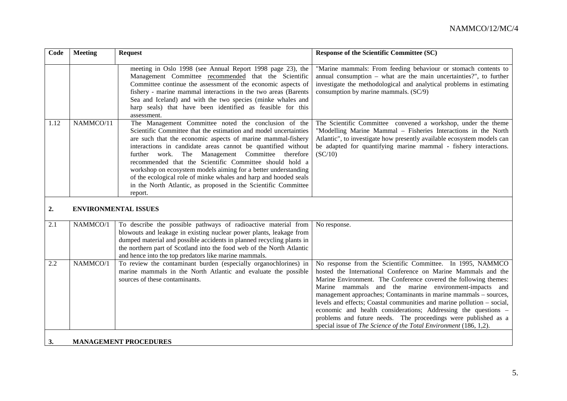| Code | <b>Meeting</b> | <b>Request</b>                                                                                                                                                                                                                                                                                                                                                                                                                                                                                                                                                                            | <b>Response of the Scientific Committee (SC)</b>                                                                                                                                                                                                                                                                                                                                                                                                                                                                                                                                                                |
|------|----------------|-------------------------------------------------------------------------------------------------------------------------------------------------------------------------------------------------------------------------------------------------------------------------------------------------------------------------------------------------------------------------------------------------------------------------------------------------------------------------------------------------------------------------------------------------------------------------------------------|-----------------------------------------------------------------------------------------------------------------------------------------------------------------------------------------------------------------------------------------------------------------------------------------------------------------------------------------------------------------------------------------------------------------------------------------------------------------------------------------------------------------------------------------------------------------------------------------------------------------|
|      |                | meeting in Oslo 1998 (see Annual Report 1998 page 23), the<br>Management Committee recommended that the Scientific<br>Committee continue the assessment of the economic aspects of<br>fishery - marine mammal interactions in the two areas (Barents<br>Sea and Iceland) and with the two species (minke whales and<br>harp seals) that have been identified as feasible for this<br>assessment.                                                                                                                                                                                          | "Marine mammals: From feeding behaviour or stomach contents to<br>annual consumption $-$ what are the main uncertainties?", to further<br>investigate the methodological and analytical problems in estimating<br>consumption by marine mammals. (SC/9)                                                                                                                                                                                                                                                                                                                                                         |
| 1.12 | NAMMCO/11      | The Management Committee noted the conclusion of the<br>Scientific Committee that the estimation and model uncertainties<br>are such that the economic aspects of marine mammal-fishery<br>interactions in candidate areas cannot be quantified without<br>further work. The Management Committee therefore<br>recommended that the Scientific Committee should hold a<br>workshop on ecosystem models aiming for a better understanding<br>of the ecological role of minke whales and harp and hooded seals<br>in the North Atlantic, as proposed in the Scientific Committee<br>report. | The Scientific Committee convened a workshop, under the theme<br>"Modelling Marine Mammal - Fisheries Interactions in the North<br>Atlantic", to investigate how presently available ecosystem models can<br>be adapted for quantifying marine mammal - fishery interactions.<br>(SC/10)                                                                                                                                                                                                                                                                                                                        |
| 2.   |                | <b>ENVIRONMENTAL ISSUES</b>                                                                                                                                                                                                                                                                                                                                                                                                                                                                                                                                                               |                                                                                                                                                                                                                                                                                                                                                                                                                                                                                                                                                                                                                 |
| 2.1  | NAMMCO/1       | To describe the possible pathways of radioactive material from<br>blowouts and leakage in existing nuclear power plants, leakage from<br>dumped material and possible accidents in planned recycling plants in<br>the northern part of Scotland into the food web of the North Atlantic<br>and hence into the top predators like marine mammals.                                                                                                                                                                                                                                          | No response.                                                                                                                                                                                                                                                                                                                                                                                                                                                                                                                                                                                                    |
| 2.2  | NAMMCO/1       | To review the contaminant burden (especially organochlorines) in<br>marine mammals in the North Atlantic and evaluate the possible<br>sources of these contaminants.                                                                                                                                                                                                                                                                                                                                                                                                                      | No response from the Scientific Committee. In 1995, NAMMCO<br>hosted the International Conference on Marine Mammals and the<br>Marine Environment. The Conference covered the following themes:<br>Marine mammals and the marine environment-impacts and<br>management approaches; Contaminants in marine mammals - sources,<br>levels and effects; Coastal communities and marine pollution - social,<br>economic and health considerations; Addressing the questions -<br>problems and future needs. The proceedings were published as a<br>special issue of The Science of the Total Environment (186, 1,2). |
| 3.   |                | <b>MANAGEMENT PROCEDURES</b>                                                                                                                                                                                                                                                                                                                                                                                                                                                                                                                                                              |                                                                                                                                                                                                                                                                                                                                                                                                                                                                                                                                                                                                                 |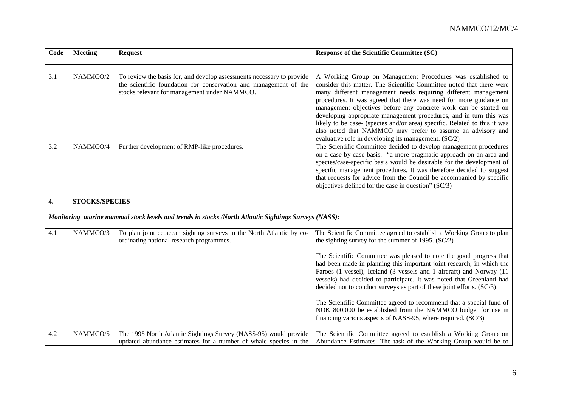| Code | <b>Meeting</b> | <b>Request</b>                                                        | <b>Response of the Scientific Committee (SC)</b>                          |
|------|----------------|-----------------------------------------------------------------------|---------------------------------------------------------------------------|
|      |                |                                                                       |                                                                           |
|      |                |                                                                       |                                                                           |
| 3.1  | NAMMCO/2       | To review the basis for, and develop assessments necessary to provide | A Working Group on Management Procedures was established to               |
|      |                | the scientific foundation for conservation and management of the      | consider this matter. The Scientific Committee noted that there were      |
|      |                | stocks relevant for management under NAMMCO.                          | many different management needs requiring different management            |
|      |                |                                                                       | procedures. It was agreed that there was need for more guidance on        |
|      |                |                                                                       | management objectives before any concrete work can be started on          |
|      |                |                                                                       | developing appropriate management procedures, and in turn this was        |
|      |                |                                                                       | likely to be case- (species and/or area) specific. Related to this it was |
|      |                |                                                                       | also noted that NAMMCO may prefer to assume an advisory and               |
|      |                |                                                                       | evaluative role in developing its management. (SC/2)                      |
| 3.2  | NAMMCO/4       | Further development of RMP-like procedures.                           | The Scientific Committee decided to develop management procedures         |
|      |                |                                                                       | on a case-by-case basis: "a more pragmatic approach on an area and        |
|      |                |                                                                       | species/case-specific basis would be desirable for the development of     |
|      |                |                                                                       | specific management procedures. It was therefore decided to suggest       |
|      |                |                                                                       | that requests for advice from the Council be accompanied by specific      |
|      |                |                                                                       | objectives defined for the case in question" $SC/3$ )                     |

#### **4. STOCKS/SPECIES**

*Monitoring marine mammal stock levels and trends in stocks /North Atlantic Sightings Surveys (NASS):*

| 4.1 | NAMMCO/3 | To plan joint cetacean sighting surveys in the North Atlantic by co-<br>ordinating national research programmes.                     | The Scientific Committee agreed to establish a Working Group to plan<br>the sighting survey for the summer of 1995. $(SC/2)$                                                                                                                                                                                                                                          |
|-----|----------|--------------------------------------------------------------------------------------------------------------------------------------|-----------------------------------------------------------------------------------------------------------------------------------------------------------------------------------------------------------------------------------------------------------------------------------------------------------------------------------------------------------------------|
|     |          |                                                                                                                                      | The Scientific Committee was pleased to note the good progress that<br>had been made in planning this important joint research, in which the<br>Faroes (1 vessel), Iceland (3 vessels and 1 aircraft) and Norway (11<br>vessels) had decided to participate. It was noted that Greenland had<br>decided not to conduct surveys as part of these joint efforts. (SC/3) |
|     |          |                                                                                                                                      | The Scientific Committee agreed to recommend that a special fund of<br>NOK 800,000 be established from the NAMMCO budget for use in<br>financing various aspects of NASS-95, where required. (SC/3)                                                                                                                                                                   |
| 4.2 | NAMMCO/5 | The 1995 North Atlantic Sightings Survey (NASS-95) would provide<br>updated abundance estimates for a number of whale species in the | The Scientific Committee agreed to establish a Working Group on<br>Abundance Estimates. The task of the Working Group would be to                                                                                                                                                                                                                                     |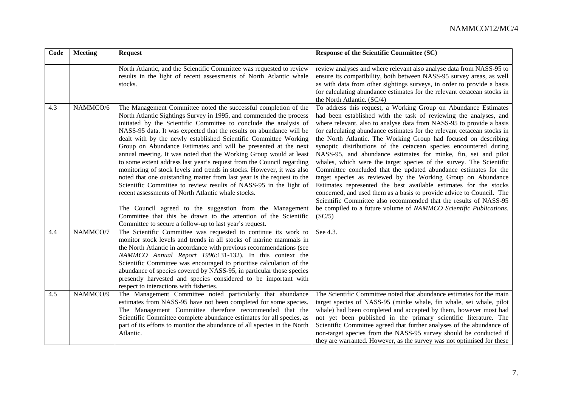| Code | <b>Meeting</b> | <b>Request</b>                                                                                                                                                                                                                                                                                                                                                                                                                                                                                                                                                                                                                                                                                                                                                                                                                                                                                                                                                                      | Response of the Scientific Committee (SC)                                                                                                                                                                                                                                                                                                                                                                                                                                                                                                                                                                                                                                                                                                                                                                                                                                                                                                                                                                     |
|------|----------------|-------------------------------------------------------------------------------------------------------------------------------------------------------------------------------------------------------------------------------------------------------------------------------------------------------------------------------------------------------------------------------------------------------------------------------------------------------------------------------------------------------------------------------------------------------------------------------------------------------------------------------------------------------------------------------------------------------------------------------------------------------------------------------------------------------------------------------------------------------------------------------------------------------------------------------------------------------------------------------------|---------------------------------------------------------------------------------------------------------------------------------------------------------------------------------------------------------------------------------------------------------------------------------------------------------------------------------------------------------------------------------------------------------------------------------------------------------------------------------------------------------------------------------------------------------------------------------------------------------------------------------------------------------------------------------------------------------------------------------------------------------------------------------------------------------------------------------------------------------------------------------------------------------------------------------------------------------------------------------------------------------------|
|      |                | North Atlantic, and the Scientific Committee was requested to review<br>results in the light of recent assessments of North Atlantic whale<br>stocks.                                                                                                                                                                                                                                                                                                                                                                                                                                                                                                                                                                                                                                                                                                                                                                                                                               | review analyses and where relevant also analyse data from NASS-95 to<br>ensure its compatibility, both between NASS-95 survey areas, as well<br>as with data from other sightings surveys, in order to provide a basis<br>for calculating abundance estimates for the relevant cetacean stocks in<br>the North Atlantic. (SC/4)                                                                                                                                                                                                                                                                                                                                                                                                                                                                                                                                                                                                                                                                               |
| 4.3  | NAMMCO/6       | The Management Committee noted the successful completion of the<br>North Atlantic Sightings Survey in 1995, and commended the process<br>initiated by the Scientific Committee to conclude the analysis of<br>NASS-95 data. It was expected that the results on abundance will be<br>dealt with by the newly established Scientific Committee Working<br>Group on Abundance Estimates and will be presented at the next<br>annual meeting. It was noted that the Working Group would at least<br>to some extent address last year's request from the Council regarding<br>monitoring of stock levels and trends in stocks. However, it was also<br>noted that one outstanding matter from last year is the request to the<br>Scientific Committee to review results of NASS-95 in the light of<br>recent assessments of North Atlantic whale stocks.<br>The Council agreed to the suggestion from the Management<br>Committee that this be drawn to the attention of the Scientific | To address this request, a Working Group on Abundance Estimates<br>had been established with the task of reviewing the analyses, and<br>where relevant, also to analyse data from NASS-95 to provide a basis<br>for calculating abundance estimates for the relevant cetacean stocks in<br>the North Atlantic. The Working Group had focused on describing<br>synoptic distributions of the cetacean species encountered during<br>NASS-95, and abundance estimates for minke, fin, sei and pilot<br>whales, which were the target species of the survey. The Scientific<br>Committee concluded that the updated abundance estimates for the<br>target species as reviewed by the Working Group on Abundance<br>Estimates represented the best available estimates for the stocks<br>concerned, and used them as a basis to provide advice to Council. The<br>Scientific Committee also recommended that the results of NASS-95<br>be compiled to a future volume of NAMMCO Scientific Publications.<br>SC/5) |
| 4.4  | NAMMCO/7       | Committee to secure a follow-up to last year's request.<br>The Scientific Committee was requested to continue its work to<br>monitor stock levels and trends in all stocks of marine mammals in<br>the North Atlantic in accordance with previous recommendations (see<br>NAMMCO Annual Report 1996:131-132). In this context the<br>Scientific Committee was encouraged to prioritise calculation of the<br>abundance of species covered by NASS-95, in particular those species<br>presently harvested and species considered to be important with<br>respect to interactions with fisheries.                                                                                                                                                                                                                                                                                                                                                                                     | See 4.3.                                                                                                                                                                                                                                                                                                                                                                                                                                                                                                                                                                                                                                                                                                                                                                                                                                                                                                                                                                                                      |
| 4.5  | NAMMCO/9       | The Management Committee noted particularly that abundance<br>estimates from NASS-95 have not been completed for some species.<br>The Management Committee therefore recommended that the<br>Scientific Committee complete abundance estimates for all species, as<br>part of its efforts to monitor the abundance of all species in the North<br>Atlantic.                                                                                                                                                                                                                                                                                                                                                                                                                                                                                                                                                                                                                         | The Scientific Committee noted that abundance estimates for the main<br>target species of NASS-95 (minke whale, fin whale, sei whale, pilot<br>whale) had been completed and accepted by them, however most had<br>not yet been published in the primary scientific literature. The<br>Scientific Committee agreed that further analyses of the abundance of<br>non-target species from the NASS-95 survey should be conducted if<br>they are warranted. However, as the survey was not optimised for these                                                                                                                                                                                                                                                                                                                                                                                                                                                                                                   |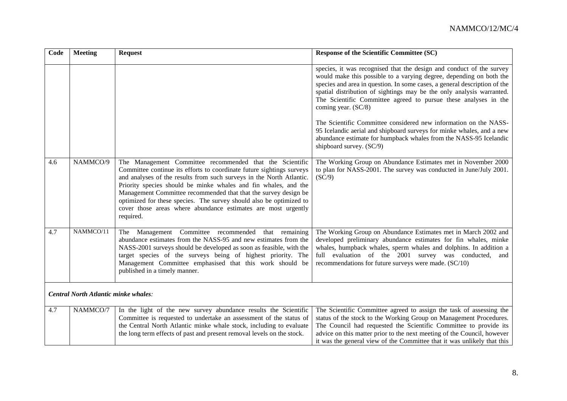| Code | <b>Meeting</b>                              | <b>Request</b>                                                                                                                                                                                                                                                                                                                                                                                                                                                                                       | <b>Response of the Scientific Committee (SC)</b>                                                                                                                                                                                                                                                                                                                                            |
|------|---------------------------------------------|------------------------------------------------------------------------------------------------------------------------------------------------------------------------------------------------------------------------------------------------------------------------------------------------------------------------------------------------------------------------------------------------------------------------------------------------------------------------------------------------------|---------------------------------------------------------------------------------------------------------------------------------------------------------------------------------------------------------------------------------------------------------------------------------------------------------------------------------------------------------------------------------------------|
|      |                                             |                                                                                                                                                                                                                                                                                                                                                                                                                                                                                                      | species, it was recognised that the design and conduct of the survey<br>would make this possible to a varying degree, depending on both the<br>species and area in question. In some cases, a general description of the<br>spatial distribution of sightings may be the only analysis warranted.<br>The Scientific Committee agreed to pursue these analyses in the<br>coming year. (SC/8) |
|      |                                             |                                                                                                                                                                                                                                                                                                                                                                                                                                                                                                      | The Scientific Committee considered new information on the NASS-<br>95 Icelandic aerial and shipboard surveys for minke whales, and a new<br>abundance estimate for humpback whales from the NASS-95 Icelandic<br>shipboard survey. (SC/9)                                                                                                                                                  |
| 4.6  | NAMMCO/9                                    | The Management Committee recommended that the Scientific<br>Committee continue its efforts to coordinate future sightings surveys<br>and analyses of the results from such surveys in the North Atlantic.<br>Priority species should be minke whales and fin whales, and the<br>Management Committee recommended that that the survey design be<br>optimized for these species. The survey should also be optimized to<br>cover those areas where abundance estimates are most urgently<br>required. | The Working Group on Abundance Estimates met in November 2000<br>to plan for NASS-2001. The survey was conducted in June/July 2001.<br>(SC/9)                                                                                                                                                                                                                                               |
| 4.7  | NAMMCO/11                                   | Management Committee recommended<br>that remaining<br>The<br>abundance estimates from the NASS-95 and new estimates from the<br>NASS-2001 surveys should be developed as soon as feasible, with the<br>target species of the surveys being of highest priority. The<br>Management Committee emphasised that this work should be<br>published in a timely manner.                                                                                                                                     | The Working Group on Abundance Estimates met in March 2002 and<br>developed preliminary abundance estimates for fin whales, minke<br>whales, humpback whales, sperm whales and dolphins. In addition a<br>full evaluation of the 2001 survey was conducted,<br>and<br>recommendations for future surveys were made. (SC/10)                                                                 |
|      | <b>Central North Atlantic minke whales:</b> |                                                                                                                                                                                                                                                                                                                                                                                                                                                                                                      |                                                                                                                                                                                                                                                                                                                                                                                             |
| 4.7  | NAMMCO/7                                    | In the light of the new survey abundance results the Scientific<br>Committee is requested to undertake an assessment of the status of<br>the Central North Atlantic minke whale stock, including to evaluate<br>the long term effects of past and present removal levels on the stock.                                                                                                                                                                                                               | The Scientific Committee agreed to assign the task of assessing the<br>status of the stock to the Working Group on Management Procedures.<br>The Council had requested the Scientific Committee to provide its<br>advice on this matter prior to the next meeting of the Council, however<br>it was the general view of the Committee that it was unlikely that this                        |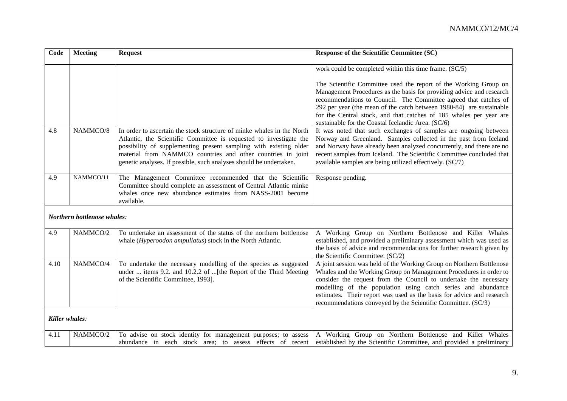| Code | <b>Meeting</b>              | <b>Request</b>                                                                                                                                                                                                                                                                                                                                         | <b>Response of the Scientific Committee (SC)</b>                                                                                                                                                                                                                                                                                                                                                                       |
|------|-----------------------------|--------------------------------------------------------------------------------------------------------------------------------------------------------------------------------------------------------------------------------------------------------------------------------------------------------------------------------------------------------|------------------------------------------------------------------------------------------------------------------------------------------------------------------------------------------------------------------------------------------------------------------------------------------------------------------------------------------------------------------------------------------------------------------------|
|      |                             |                                                                                                                                                                                                                                                                                                                                                        | work could be completed within this time frame. (SC/5)                                                                                                                                                                                                                                                                                                                                                                 |
|      |                             |                                                                                                                                                                                                                                                                                                                                                        | The Scientific Committee used the report of the Working Group on<br>Management Procedures as the basis for providing advice and research<br>recommendations to Council. The Committee agreed that catches of<br>292 per year (the mean of the catch between 1980-84) are sustainable<br>for the Central stock, and that catches of 185 whales per year are<br>sustainable for the Coastal Icelandic Area. (SC/6)       |
| 4.8  | NAMMCO/8                    | In order to ascertain the stock structure of minke whales in the North<br>Atlantic, the Scientific Committee is requested to investigate the<br>possibility of supplementing present sampling with existing older<br>material from NAMMCO countries and other countries in joint<br>genetic analyses. If possible, such analyses should be undertaken. | It was noted that such exchanges of samples are ongoing between<br>Norway and Greenland. Samples collected in the past from Iceland<br>and Norway have already been analyzed concurrently, and there are no<br>recent samples from Iceland. The Scientific Committee concluded that<br>available samples are being utilized effectively. (SC/7)                                                                        |
| 4.9  | NAMMCO/11                   | The Management Committee recommended that the Scientific<br>Committee should complete an assessment of Central Atlantic minke<br>whales once new abundance estimates from NASS-2001 become<br>available.                                                                                                                                               | Response pending.                                                                                                                                                                                                                                                                                                                                                                                                      |
|      | Northern bottlenose whales: |                                                                                                                                                                                                                                                                                                                                                        |                                                                                                                                                                                                                                                                                                                                                                                                                        |
| 4.9  | NAMMCO/2                    | To undertake an assessment of the status of the northern bottlenose<br>whale (Hyperoodon ampullatus) stock in the North Atlantic.                                                                                                                                                                                                                      | A Working Group on Northern Bottlenose and Killer Whales<br>established, and provided a preliminary assessment which was used as<br>the basis of advice and recommendations for further research given by<br>the Scientific Committee. (SC/2)                                                                                                                                                                          |
| 4.10 | NAMMCO/4                    | To undertake the necessary modelling of the species as suggested<br>under  items 9.2. and 10.2.2 of [the Report of the Third Meeting<br>of the Scientific Committee, 1993].                                                                                                                                                                            | A joint session was held of the Working Group on Northern Bottlenose<br>Whales and the Working Group on Management Procedures in order to<br>consider the request from the Council to undertake the necessary<br>modelling of the population using catch series and abundance<br>estimates. Their report was used as the basis for advice and research<br>recommendations conveyed by the Scientific Committee. (SC/3) |
|      | Killer whales:              |                                                                                                                                                                                                                                                                                                                                                        |                                                                                                                                                                                                                                                                                                                                                                                                                        |
| 4.11 | NAMMCO/2                    | To advise on stock identity for management purposes; to assess<br>abundance in each stock area; to assess effects of recent                                                                                                                                                                                                                            | A Working Group on Northern Bottlenose and Killer Whales<br>established by the Scientific Committee, and provided a preliminary                                                                                                                                                                                                                                                                                        |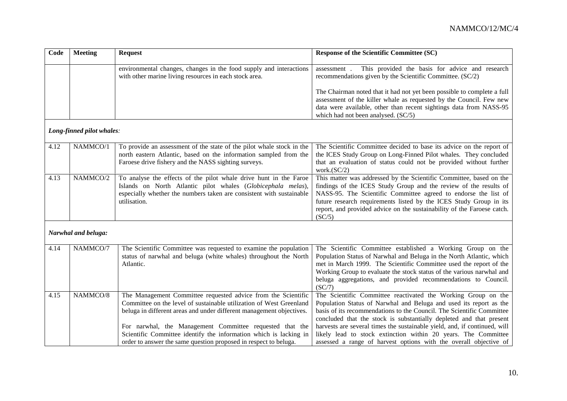| Code | <b>Meeting</b>            | <b>Request</b>                                                                                                                                                                                                                                                                                                                                                                                                    | <b>Response of the Scientific Committee (SC)</b>                                                                                                                                                                                                                                                                                                                                                                                                                                                        |
|------|---------------------------|-------------------------------------------------------------------------------------------------------------------------------------------------------------------------------------------------------------------------------------------------------------------------------------------------------------------------------------------------------------------------------------------------------------------|---------------------------------------------------------------------------------------------------------------------------------------------------------------------------------------------------------------------------------------------------------------------------------------------------------------------------------------------------------------------------------------------------------------------------------------------------------------------------------------------------------|
|      |                           | environmental changes, changes in the food supply and interactions<br>with other marine living resources in each stock area.                                                                                                                                                                                                                                                                                      | This provided the basis for advice and research<br>assessment.<br>recommendations given by the Scientific Committee. (SC/2)                                                                                                                                                                                                                                                                                                                                                                             |
|      |                           |                                                                                                                                                                                                                                                                                                                                                                                                                   | The Chairman noted that it had not yet been possible to complete a full<br>assessment of the killer whale as requested by the Council. Few new<br>data were available, other than recent sightings data from NASS-95<br>which had not been analysed. (SC/5)                                                                                                                                                                                                                                             |
|      | Long-finned pilot whales: |                                                                                                                                                                                                                                                                                                                                                                                                                   |                                                                                                                                                                                                                                                                                                                                                                                                                                                                                                         |
| 4.12 | NAMMCO/1                  | To provide an assessment of the state of the pilot whale stock in the<br>north eastern Atlantic, based on the information sampled from the<br>Faroese drive fishery and the NASS sighting surveys.                                                                                                                                                                                                                | The Scientific Committee decided to base its advice on the report of<br>the ICES Study Group on Long-Finned Pilot whales. They concluded<br>that an evaluation of status could not be provided without further<br>work. $(SC/2)$                                                                                                                                                                                                                                                                        |
| 4.13 | NAMMCO/2                  | To analyse the effects of the pilot whale drive hunt in the Faroe<br>Islands on North Atlantic pilot whales (Globicephala melas),<br>especially whether the numbers taken are consistent with sustainable<br>utilisation.                                                                                                                                                                                         | This matter was addressed by the Scientific Committee, based on the<br>findings of the ICES Study Group and the review of the results of<br>NASS-95. The Scientific Committee agreed to endorse the list of<br>future research requirements listed by the ICES Study Group in its<br>report, and provided advice on the sustainability of the Faroese catch.<br>(SC/5)                                                                                                                                  |
|      | Narwhal and beluga:       |                                                                                                                                                                                                                                                                                                                                                                                                                   |                                                                                                                                                                                                                                                                                                                                                                                                                                                                                                         |
| 4.14 | NAMMCO/7                  | The Scientific Committee was requested to examine the population<br>status of narwhal and beluga (white whales) throughout the North<br>Atlantic.                                                                                                                                                                                                                                                                 | The Scientific Committee established a Working Group on the<br>Population Status of Narwhal and Beluga in the North Atlantic, which<br>met in March 1999. The Scientific Committee used the report of the<br>Working Group to evaluate the stock status of the various narwhal and<br>beluga aggregations, and provided recommendations to Council.<br>(SC/7)                                                                                                                                           |
| 4.15 | NAMMCO/8                  | The Management Committee requested advice from the Scientific<br>Committee on the level of sustainable utilization of West Greenland<br>beluga in different areas and under different management objectives.<br>For narwhal, the Management Committee requested that the<br>Scientific Committee identify the information which is lacking in<br>order to answer the same question proposed in respect to beluga. | The Scientific Committee reactivated the Working Group on the<br>Population Status of Narwhal and Beluga and used its report as the<br>basis of its recommendations to the Council. The Scientific Committee<br>concluded that the stock is substantially depleted and that present<br>harvests are several times the sustainable yield, and, if continued, will<br>likely lead to stock extinction within 20 years. The Committee<br>assessed a range of harvest options with the overall objective of |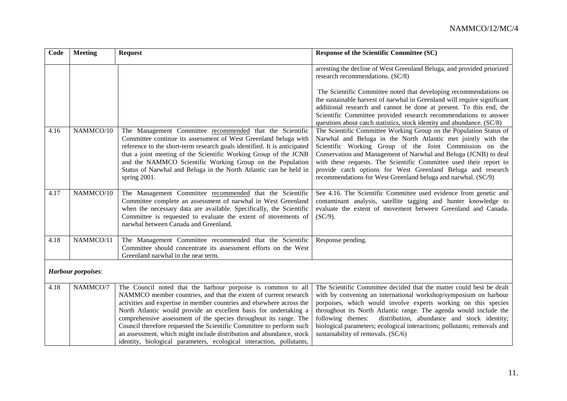| Code                      | <b>Meeting</b> | <b>Request</b>                                                                                                                                                                                                                                                                                                                                                                                                                                                                                                                                                              | <b>Response of the Scientific Committee (SC)</b>                                                                                                                                                                                                                                                                                                                                                                                                                          |  |
|---------------------------|----------------|-----------------------------------------------------------------------------------------------------------------------------------------------------------------------------------------------------------------------------------------------------------------------------------------------------------------------------------------------------------------------------------------------------------------------------------------------------------------------------------------------------------------------------------------------------------------------------|---------------------------------------------------------------------------------------------------------------------------------------------------------------------------------------------------------------------------------------------------------------------------------------------------------------------------------------------------------------------------------------------------------------------------------------------------------------------------|--|
|                           |                |                                                                                                                                                                                                                                                                                                                                                                                                                                                                                                                                                                             | arresting the decline of West Greenland Beluga, and provided priorized<br>research recommendations. (SC/8)<br>The Scientific Committee noted that developing recommendations on<br>the sustainable harvest of narwhal in Greenland will require significant                                                                                                                                                                                                               |  |
|                           |                |                                                                                                                                                                                                                                                                                                                                                                                                                                                                                                                                                                             | additional research and cannot be done at present. To this end, the<br>Scientific Committee provided research recommendations to answer<br>questions about catch statistics, stock identity and abundance. (SC/8)                                                                                                                                                                                                                                                         |  |
| 4.16                      | NAMMCO/10      | The Management Committee recommended that the Scientific<br>Committee continue its assessment of West Greenland beluga with<br>reference to the short-term research goals identified. It is anticipated<br>that a joint meeting of the Scientific Working Group of the JCNB<br>and the NAMMCO Scientific Working Group on the Population<br>Status of Narwhal and Beluga in the North Atlantic can be held in<br>spring 2001.                                                                                                                                               | The Scientific Committee Working Group on the Population Status of<br>Narwhal and Beluga in the North Atlantic met jointly with the<br>Scientific Working Group of the Joint Commission on the<br>Conservation and Management of Narwhal and Beluga (JCNB) to deal<br>with these requests. The Scientific Committee used their report to<br>provide catch options for West Greenland Beluga and research<br>recommendations for West Greenland beluga and narwhal. (SC/9) |  |
| 4.17                      | NAMMCO/10      | The Management Committee recommended that the Scientific<br>Committee complete an assessment of narwhal in West Greenland<br>when the necessary data are available. Specifically, the Scientific<br>Committee is requested to evaluate the extent of movements of<br>narwhal between Canada and Greenland.                                                                                                                                                                                                                                                                  | See 4.16. The Scientific Committee used evidence from genetic and<br>contaminant analysis, satellite tagging and hunter knowledge to<br>evaluate the extent of movement between Greenland and Canada.<br>$(SC/9)$ .                                                                                                                                                                                                                                                       |  |
| 4.18                      | NAMMCO/11      | The Management Committee recommended that the Scientific<br>Committee should concentrate its assessment efforts on the West<br>Greenland narwhal in the near term.                                                                                                                                                                                                                                                                                                                                                                                                          | Response pending.                                                                                                                                                                                                                                                                                                                                                                                                                                                         |  |
| <b>Harbour</b> porpoises: |                |                                                                                                                                                                                                                                                                                                                                                                                                                                                                                                                                                                             |                                                                                                                                                                                                                                                                                                                                                                                                                                                                           |  |
| 4.18                      | NAMMCO/7       | The Council noted that the harbour porpoise is common to all<br>NAMMCO member countries, and that the extent of current research<br>activities and expertise in member countries and elsewhere across the<br>North Atlantic would provide an excellent basis for undertaking a<br>comprehensive assessment of the species throughout its range. The<br>Council therefore requested the Scientific Committee to perform such<br>an assessment, which might include distribution and abundance, stock<br>identity, biological parameters, ecological interaction, pollutants, | The Scientific Committee decided that the matter could best be dealt<br>with by convening an international workshop/symposium on harbour<br>porpoises, which would involve experts working on this species<br>throughout its North Atlantic range. The agenda would include the<br>distribution, abundance and stock identity;<br>following themes:<br>biological parameters; ecological interactions; pollutants; removals and<br>sustainability of removals. (SC/6)     |  |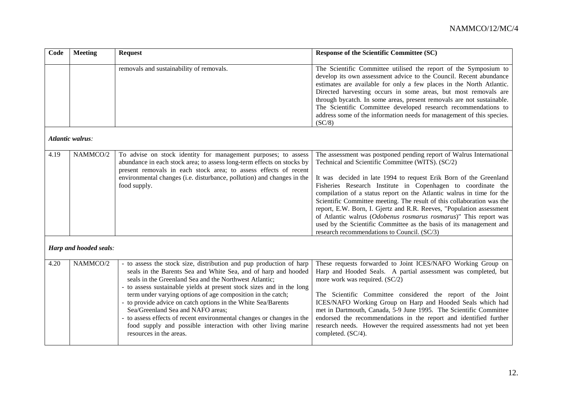| Code | <b>Meeting</b>          | <b>Request</b>                                                                                                                                                                                                                                                                                                                                                                                                                                                                                                                                                                                                     | <b>Response of the Scientific Committee (SC)</b>                                                                                                                                                                                                                                                                                                                                                                                                                                                                                                                                                                                                                                   |
|------|-------------------------|--------------------------------------------------------------------------------------------------------------------------------------------------------------------------------------------------------------------------------------------------------------------------------------------------------------------------------------------------------------------------------------------------------------------------------------------------------------------------------------------------------------------------------------------------------------------------------------------------------------------|------------------------------------------------------------------------------------------------------------------------------------------------------------------------------------------------------------------------------------------------------------------------------------------------------------------------------------------------------------------------------------------------------------------------------------------------------------------------------------------------------------------------------------------------------------------------------------------------------------------------------------------------------------------------------------|
|      |                         | removals and sustainability of removals.                                                                                                                                                                                                                                                                                                                                                                                                                                                                                                                                                                           | The Scientific Committee utilised the report of the Symposium to<br>develop its own assessment advice to the Council. Recent abundance<br>estimates are available for only a few places in the North Atlantic.<br>Directed harvesting occurs in some areas, but most removals are<br>through bycatch. In some areas, present removals are not sustainable.<br>The Scientific Committee developed research recommendations to<br>address some of the information needs for management of this species.<br>(SC/8)                                                                                                                                                                    |
|      | <b>Atlantic walrus:</b> |                                                                                                                                                                                                                                                                                                                                                                                                                                                                                                                                                                                                                    |                                                                                                                                                                                                                                                                                                                                                                                                                                                                                                                                                                                                                                                                                    |
| 4.19 | NAMMCO/2                | To advise on stock identity for management purposes; to assess<br>abundance in each stock area; to assess long-term effects on stocks by<br>present removals in each stock area; to assess effects of recent<br>environmental changes (i.e. disturbance, pollution) and changes in the<br>food supply.                                                                                                                                                                                                                                                                                                             | The assessment was postponed pending report of Walrus International<br>Technical and Scientific Committee (WITS). (SC/2)<br>It was decided in late 1994 to request Erik Born of the Greenland<br>Fisheries Research Institute in Copenhagen to coordinate the<br>compilation of a status report on the Atlantic walrus in time for the<br>Scientific Committee meeting. The result of this collaboration was the<br>report, E.W. Born, I. Gjertz and R.R. Reeves, "Population assessment<br>of Atlantic walrus (Odobenus rosmarus rosmarus)" This report was<br>used by the Scientific Committee as the basis of its management and<br>research recommendations to Council. (SC/3) |
|      | Harp and hooded seals:  |                                                                                                                                                                                                                                                                                                                                                                                                                                                                                                                                                                                                                    |                                                                                                                                                                                                                                                                                                                                                                                                                                                                                                                                                                                                                                                                                    |
| 4.20 | NAMMCO/2                | - to assess the stock size, distribution and pup production of harp<br>seals in the Barents Sea and White Sea, and of harp and hooded<br>seals in the Greenland Sea and the Northwest Atlantic;<br>- to assess sustainable yields at present stock sizes and in the long<br>term under varying options of age composition in the catch;<br>- to provide advice on catch options in the White Sea/Barents<br>Sea/Greenland Sea and NAFO areas;<br>- to assess effects of recent environmental changes or changes in the<br>food supply and possible interaction with other living marine<br>resources in the areas. | These requests forwarded to Joint ICES/NAFO Working Group on<br>Harp and Hooded Seals. A partial assessment was completed, but<br>more work was required. (SC/2)<br>The Scientific Committee considered the report of the Joint<br>ICES/NAFO Working Group on Harp and Hooded Seals which had<br>met in Dartmouth, Canada, 5-9 June 1995. The Scientific Committee<br>endorsed the recommendations in the report and identified further<br>research needs. However the required assessments had not yet been<br>completed. (SC/4).                                                                                                                                                 |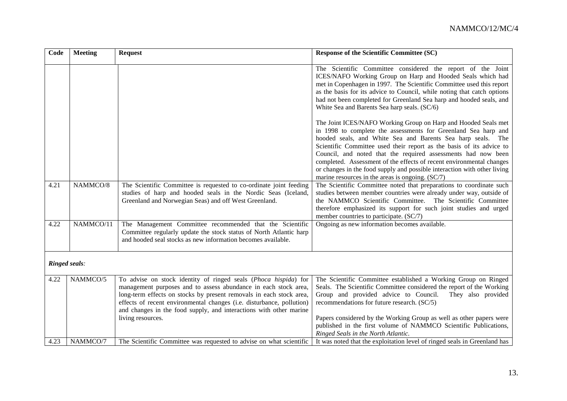| Code | <b>Meeting</b> | <b>Request</b>                                                                                                                                                                                                                                                                                                                                                                | <b>Response of the Scientific Committee (SC)</b>                                                                                                                                                                                                                                                                                                                                                                                                                                                                                                 |  |  |
|------|----------------|-------------------------------------------------------------------------------------------------------------------------------------------------------------------------------------------------------------------------------------------------------------------------------------------------------------------------------------------------------------------------------|--------------------------------------------------------------------------------------------------------------------------------------------------------------------------------------------------------------------------------------------------------------------------------------------------------------------------------------------------------------------------------------------------------------------------------------------------------------------------------------------------------------------------------------------------|--|--|
|      |                |                                                                                                                                                                                                                                                                                                                                                                               | The Scientific Committee considered the report of the Joint<br>ICES/NAFO Working Group on Harp and Hooded Seals which had<br>met in Copenhagen in 1997. The Scientific Committee used this report<br>as the basis for its advice to Council, while noting that catch options<br>had not been completed for Greenland Sea harp and hooded seals, and<br>White Sea and Barents Sea harp seals. (SC/6)                                                                                                                                              |  |  |
|      |                |                                                                                                                                                                                                                                                                                                                                                                               | The Joint ICES/NAFO Working Group on Harp and Hooded Seals met<br>in 1998 to complete the assessments for Greenland Sea harp and<br>hooded seals, and White Sea and Barents Sea harp seals. The<br>Scientific Committee used their report as the basis of its advice to<br>Council, and noted that the required assessments had now been<br>completed. Assessment of the effects of recent environmental changes<br>or changes in the food supply and possible interaction with other living<br>marine resources in the areas is ongoing. (SC/7) |  |  |
| 4.21 | NAMMCO/8       | The Scientific Committee is requested to co-ordinate joint feeding<br>studies of harp and hooded seals in the Nordic Seas (Iceland,<br>Greenland and Norwegian Seas) and off West Greenland.                                                                                                                                                                                  | The Scientific Committee noted that preparations to coordinate such<br>studies between member countries were already under way, outside of<br>the NAMMCO Scientific Committee. The Scientific Committee<br>therefore emphasized its support for such joint studies and urged<br>member countries to participate. (SC/7)                                                                                                                                                                                                                          |  |  |
| 4.22 | NAMMCO/11      | The Management Committee recommended that the Scientific<br>Committee regularly update the stock status of North Atlantic harp<br>and hooded seal stocks as new information becomes available.                                                                                                                                                                                | Ongoing as new information becomes available.                                                                                                                                                                                                                                                                                                                                                                                                                                                                                                    |  |  |
|      | Ringed seals:  |                                                                                                                                                                                                                                                                                                                                                                               |                                                                                                                                                                                                                                                                                                                                                                                                                                                                                                                                                  |  |  |
| 4.22 | NAMMCO/5       | To advise on stock identity of ringed seals (Phoca hispida) for<br>management purposes and to assess abundance in each stock area,<br>long-term effects on stocks by present removals in each stock area,<br>effects of recent environmental changes (i.e. disturbance, pollution)<br>and changes in the food supply, and interactions with other marine<br>living resources. | The Scientific Committee established a Working Group on Ringed<br>Seals. The Scientific Committee considered the report of the Working<br>Group and provided advice to Council.<br>They also provided<br>recommendations for future research. (SC/5)<br>Papers considered by the Working Group as well as other papers were                                                                                                                                                                                                                      |  |  |
| 4.23 | NAMMCO/7       | The Scientific Committee was requested to advise on what scientific                                                                                                                                                                                                                                                                                                           | published in the first volume of NAMMCO Scientific Publications,<br>Ringed Seals in the North Atlantic.<br>It was noted that the exploitation level of ringed seals in Greenland has                                                                                                                                                                                                                                                                                                                                                             |  |  |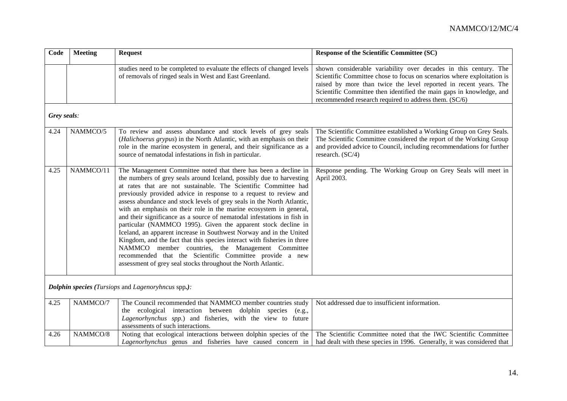| Code                                                      | <b>Meeting</b> | <b>Request</b>                                                                                                                                                                                                                                                                                                                                                                                                                                                                                                                                                                                                                                                                                                                                                                                                                                                                                                  | <b>Response of the Scientific Committee (SC)</b>                                                                                                                                                                                                                                                                                                 |  |
|-----------------------------------------------------------|----------------|-----------------------------------------------------------------------------------------------------------------------------------------------------------------------------------------------------------------------------------------------------------------------------------------------------------------------------------------------------------------------------------------------------------------------------------------------------------------------------------------------------------------------------------------------------------------------------------------------------------------------------------------------------------------------------------------------------------------------------------------------------------------------------------------------------------------------------------------------------------------------------------------------------------------|--------------------------------------------------------------------------------------------------------------------------------------------------------------------------------------------------------------------------------------------------------------------------------------------------------------------------------------------------|--|
|                                                           |                | studies need to be completed to evaluate the effects of changed levels<br>of removals of ringed seals in West and East Greenland.                                                                                                                                                                                                                                                                                                                                                                                                                                                                                                                                                                                                                                                                                                                                                                               | shown considerable variability over decades in this century. The<br>Scientific Committee chose to focus on scenarios where exploitation is<br>raised by more than twice the level reported in recent years. The<br>Scientific Committee then identified the main gaps in knowledge, and<br>recommended research required to address them. (SC/6) |  |
| Grey seals:                                               |                |                                                                                                                                                                                                                                                                                                                                                                                                                                                                                                                                                                                                                                                                                                                                                                                                                                                                                                                 |                                                                                                                                                                                                                                                                                                                                                  |  |
| 4.24                                                      | NAMMCO/5       | To review and assess abundance and stock levels of grey seals<br>(Halichoerus grypus) in the North Atlantic, with an emphasis on their<br>role in the marine ecosystem in general, and their significance as a<br>source of nematodal infestations in fish in particular.                                                                                                                                                                                                                                                                                                                                                                                                                                                                                                                                                                                                                                       | The Scientific Committee established a Working Group on Grey Seals.<br>The Scientific Committee considered the report of the Working Group<br>and provided advice to Council, including recommendations for further<br>research. (SC/4)                                                                                                          |  |
| 4.25                                                      | NAMMCO/11      | The Management Committee noted that there has been a decline in<br>the numbers of grey seals around Iceland, possibly due to harvesting<br>at rates that are not sustainable. The Scientific Committee had<br>previously provided advice in response to a request to review and<br>assess abundance and stock levels of grey seals in the North Atlantic,<br>with an emphasis on their role in the marine ecosystem in general,<br>and their significance as a source of nematodal infestations in fish in<br>particular (NAMMCO 1995). Given the apparent stock decline in<br>Iceland, an apparent increase in Southwest Norway and in the United<br>Kingdom, and the fact that this species interact with fisheries in three<br>NAMMCO member countries, the Management Committee<br>recommended that the Scientific Committee provide a new<br>assessment of grey seal stocks throughout the North Atlantic. | Response pending. The Working Group on Grey Seals will meet in<br>April 2003.                                                                                                                                                                                                                                                                    |  |
| <b>Dolphin species</b> (Tursiops and Lagenoryhncus spp.): |                |                                                                                                                                                                                                                                                                                                                                                                                                                                                                                                                                                                                                                                                                                                                                                                                                                                                                                                                 |                                                                                                                                                                                                                                                                                                                                                  |  |
| 4.25                                                      | NAMMCO/7       | The Council recommended that NAMMCO member countries study<br>the ecological interaction between dolphin species<br>(e.g.,<br>Lagenorhynchus spp.) and fisheries, with the view to future<br>assessments of such interactions.                                                                                                                                                                                                                                                                                                                                                                                                                                                                                                                                                                                                                                                                                  | Not addressed due to insufficient information.                                                                                                                                                                                                                                                                                                   |  |
| 4.26                                                      | NAMMCO/8       | Noting that ecological interactions between dolphin species of the<br>Lagenorhynchus genus and fisheries have caused concern in                                                                                                                                                                                                                                                                                                                                                                                                                                                                                                                                                                                                                                                                                                                                                                                 | The Scientific Committee noted that the IWC Scientific Committee<br>had dealt with these species in 1996. Generally, it was considered that                                                                                                                                                                                                      |  |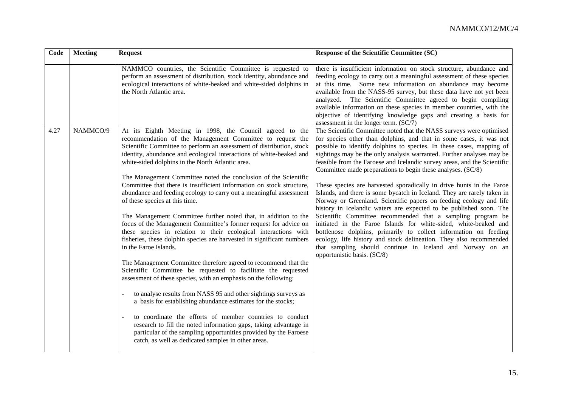| Code | <b>Meeting</b> | <b>Request</b>                                                                                                                                                                                                                                                                                                                                                                                                                                                                                                                                                                                                                                                                                                                                                                                                                                                                                                                                                                                                                                                                                                                                                                                                                                                                                  | Response of the Scientific Committee (SC)                                                                                                                                                                                                                                                                                                                                                                                                                                                                                                                                                                                                                                                                                                                                                                                                                                                                                                                                                                                                                                                                      |
|------|----------------|-------------------------------------------------------------------------------------------------------------------------------------------------------------------------------------------------------------------------------------------------------------------------------------------------------------------------------------------------------------------------------------------------------------------------------------------------------------------------------------------------------------------------------------------------------------------------------------------------------------------------------------------------------------------------------------------------------------------------------------------------------------------------------------------------------------------------------------------------------------------------------------------------------------------------------------------------------------------------------------------------------------------------------------------------------------------------------------------------------------------------------------------------------------------------------------------------------------------------------------------------------------------------------------------------|----------------------------------------------------------------------------------------------------------------------------------------------------------------------------------------------------------------------------------------------------------------------------------------------------------------------------------------------------------------------------------------------------------------------------------------------------------------------------------------------------------------------------------------------------------------------------------------------------------------------------------------------------------------------------------------------------------------------------------------------------------------------------------------------------------------------------------------------------------------------------------------------------------------------------------------------------------------------------------------------------------------------------------------------------------------------------------------------------------------|
|      |                | NAMMCO countries, the Scientific Committee is requested to<br>perform an assessment of distribution, stock identity, abundance and<br>ecological interactions of white-beaked and white-sided dolphins in<br>the North Atlantic area.                                                                                                                                                                                                                                                                                                                                                                                                                                                                                                                                                                                                                                                                                                                                                                                                                                                                                                                                                                                                                                                           | there is insufficient information on stock structure, abundance and<br>feeding ecology to carry out a meaningful assessment of these species<br>at this time. Some new information on abundance may become<br>available from the NASS-95 survey, but these data have not yet been<br>analyzed. The Scientific Committee agreed to begin compiling<br>available information on these species in member countries, with the<br>objective of identifying knowledge gaps and creating a basis for<br>assessment in the longer term. (SC/7)                                                                                                                                                                                                                                                                                                                                                                                                                                                                                                                                                                         |
| 4.27 | NAMMCO/9       | At its Eighth Meeting in 1998, the Council agreed to<br>the<br>recommendation of the Management Committee to request the<br>Scientific Committee to perform an assessment of distribution, stock<br>identity, abundance and ecological interactions of white-beaked and<br>white-sided dolphins in the North Atlantic area.<br>The Management Committee noted the conclusion of the Scientific<br>Committee that there is insufficient information on stock structure,<br>abundance and feeding ecology to carry out a meaningful assessment<br>of these species at this time.<br>The Management Committee further noted that, in addition to the<br>focus of the Management Committee's former request for advice on<br>these species in relation to their ecological interactions with<br>fisheries, these dolphin species are harvested in significant numbers<br>in the Faroe Islands.<br>The Management Committee therefore agreed to recommend that the<br>Scientific Committee be requested to facilitate the requested<br>assessment of these species, with an emphasis on the following:<br>to analyse results from NASS 95 and other sightings surveys as<br>a basis for establishing abundance estimates for the stocks;<br>to coordinate the efforts of member countries to conduct | The Scientific Committee noted that the NASS surveys were optimised<br>for species other than dolphins, and that in some cases, it was not<br>possible to identify dolphins to species. In these cases, mapping of<br>sightings may be the only analysis warranted. Further analyses may be<br>feasible from the Faroese and Icelandic survey areas, and the Scientific<br>Committee made preparations to begin these analyses. (SC/8)<br>These species are harvested sporadically in drive hunts in the Faroe<br>Islands, and there is some bycatch in Iceland. They are rarely taken in<br>Norway or Greenland. Scientific papers on feeding ecology and life<br>history in Icelandic waters are expected to be published soon. The<br>Scientific Committee recommended that a sampling program be<br>initiated in the Faroe Islands for white-sided, white-beaked and<br>bottlenose dolphins, primarily to collect information on feeding<br>ecology, life history and stock delineation. They also recommended<br>that sampling should continue in Iceland and Norway on an<br>opportunistic basis. (SC/8) |
|      |                | research to fill the noted information gaps, taking advantage in<br>particular of the sampling opportunities provided by the Faroese<br>catch, as well as dedicated samples in other areas.                                                                                                                                                                                                                                                                                                                                                                                                                                                                                                                                                                                                                                                                                                                                                                                                                                                                                                                                                                                                                                                                                                     |                                                                                                                                                                                                                                                                                                                                                                                                                                                                                                                                                                                                                                                                                                                                                                                                                                                                                                                                                                                                                                                                                                                |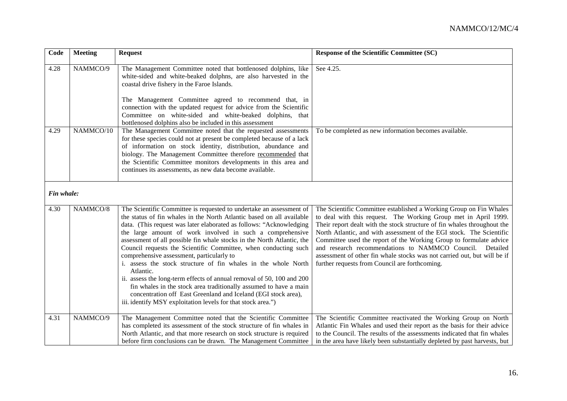| Code       | <b>Meeting</b> | <b>Request</b>                                                                                                                                                                                                                                                                                                                                                                                                                                                                                                                                                                                                                                                                                                                                                                                                                            | <b>Response of the Scientific Committee (SC)</b>                                                                                                                                                                                                                                                                                                                                                                                                                                                                                                             |
|------------|----------------|-------------------------------------------------------------------------------------------------------------------------------------------------------------------------------------------------------------------------------------------------------------------------------------------------------------------------------------------------------------------------------------------------------------------------------------------------------------------------------------------------------------------------------------------------------------------------------------------------------------------------------------------------------------------------------------------------------------------------------------------------------------------------------------------------------------------------------------------|--------------------------------------------------------------------------------------------------------------------------------------------------------------------------------------------------------------------------------------------------------------------------------------------------------------------------------------------------------------------------------------------------------------------------------------------------------------------------------------------------------------------------------------------------------------|
| 4.28       | NAMMCO/9       | The Management Committee noted that bottlenosed dolphins, like<br>white-sided and white-beaked dolphns, are also harvested in the<br>coastal drive fishery in the Faroe Islands.<br>The Management Committee agreed to recommend that, in<br>connection with the updated request for advice from the Scientific<br>Committee on white-sided and white-beaked dolphins, that                                                                                                                                                                                                                                                                                                                                                                                                                                                               | See 4.25.                                                                                                                                                                                                                                                                                                                                                                                                                                                                                                                                                    |
| 4.29       | NAMMCO/10      | bottlenosed dolphins also be included in this assessment<br>The Management Committee noted that the requested assessments<br>for these species could not at present be completed because of a lack<br>of information on stock identity, distribution, abundance and<br>biology. The Management Committee therefore recommended that<br>the Scientific Committee monitors developments in this area and<br>continues its assessments, as new data become available.                                                                                                                                                                                                                                                                                                                                                                        | To be completed as new information becomes available.                                                                                                                                                                                                                                                                                                                                                                                                                                                                                                        |
| Fin whale: |                |                                                                                                                                                                                                                                                                                                                                                                                                                                                                                                                                                                                                                                                                                                                                                                                                                                           |                                                                                                                                                                                                                                                                                                                                                                                                                                                                                                                                                              |
| 4.30       | NAMMCO/8       | The Scientific Committee is requested to undertake an assessment of<br>the status of fin whales in the North Atlantic based on all available<br>data. (This request was later elaborated as follows: "Acknowledging<br>the large amount of work involved in such a comprehensive<br>assessment of all possible fin whale stocks in the North Atlantic, the<br>Council requests the Scientific Committee, when conducting such<br>comprehensive assessment, particularly to<br>i. assess the stock structure of fin whales in the whole North<br>Atlantic.<br>ii. assess the long-term effects of annual removal of 50, 100 and 200<br>fin whales in the stock area traditionally assumed to have a main<br>concentration off East Greenland and Iceland (EGI stock area),<br>iii. identify MSY exploitation levels for that stock area.") | The Scientific Committee established a Working Group on Fin Whales<br>to deal with this request. The Working Group met in April 1999.<br>Their report dealt with the stock structure of fin whales throughout the<br>North Atlantic, and with assessment of the EGI stock. The Scientific<br>Committee used the report of the Working Group to formulate advice<br>and research recommendations to NAMMCO Council.<br>Detailed<br>assessment of other fin whale stocks was not carried out, but will be if<br>further requests from Council are forthcoming. |
| 4.31       | NAMMCO/9       | The Management Committee noted that the Scientific Committee<br>has completed its assessment of the stock structure of fin whales in<br>North Atlantic, and that more research on stock structure is required<br>before firm conclusions can be drawn. The Management Committee                                                                                                                                                                                                                                                                                                                                                                                                                                                                                                                                                           | The Scientific Committee reactivated the Working Group on North<br>Atlantic Fin Whales and used their report as the basis for their advice<br>to the Council. The results of the assessments indicated that fin whales<br>in the area have likely been substantially depleted by past harvests, but                                                                                                                                                                                                                                                          |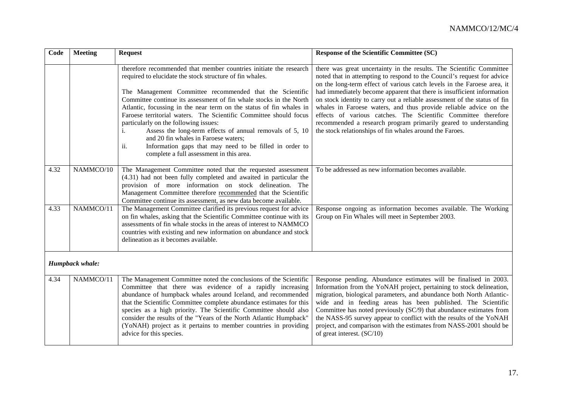| Code            | <b>Meeting</b> | <b>Request</b>                                                                                                                                                                                                                                                                                                                                                                                                                                                                                                                                                                                                                                                               | <b>Response of the Scientific Committee (SC)</b>                                                                                                                                                                                                                                                                                                                                                                                                                                                                                                                                                                                                         |  |
|-----------------|----------------|------------------------------------------------------------------------------------------------------------------------------------------------------------------------------------------------------------------------------------------------------------------------------------------------------------------------------------------------------------------------------------------------------------------------------------------------------------------------------------------------------------------------------------------------------------------------------------------------------------------------------------------------------------------------------|----------------------------------------------------------------------------------------------------------------------------------------------------------------------------------------------------------------------------------------------------------------------------------------------------------------------------------------------------------------------------------------------------------------------------------------------------------------------------------------------------------------------------------------------------------------------------------------------------------------------------------------------------------|--|
|                 |                | therefore recommended that member countries initiate the research<br>required to elucidate the stock structure of fin whales.<br>The Management Committee recommended that the Scientific<br>Committee continue its assessment of fin whale stocks in the North<br>Atlantic, focussing in the near term on the status of fin whales in<br>Faroese territorial waters. The Scientific Committee should focus<br>particularly on the following issues:<br>Assess the long-term effects of annual removals of 5, 10<br>i.<br>and 20 fin whales in Faroese waters;<br>Information gaps that may need to be filled in order to<br>ii.<br>complete a full assessment in this area. | there was great uncertainty in the results. The Scientific Committee<br>noted that in attempting to respond to the Council's request for advice<br>on the long-term effect of various catch levels in the Faroese area, it<br>had immediately become apparent that there is insufficient information<br>on stock identity to carry out a reliable assessment of the status of fin<br>whales in Faroese waters, and thus provide reliable advice on the<br>effects of various catches. The Scientific Committee therefore<br>recommended a research program primarily geared to understanding<br>the stock relationships of fin whales around the Faroes. |  |
| 4.32            | NAMMCO/10      | The Management Committee noted that the requested assessment<br>(4.31) had not been fully completed and awaited in particular the<br>provision of more information on stock delineation. The<br>Management Committee therefore recommended that the Scientific<br>Committee continue its assessment, as new data become available.                                                                                                                                                                                                                                                                                                                                           | To be addressed as new information becomes available.                                                                                                                                                                                                                                                                                                                                                                                                                                                                                                                                                                                                    |  |
| 4.33            | NAMMCO/11      | The Management Committee clarified its previous request for advice<br>on fin whales, asking that the Scientific Committee continue with its<br>assessments of fin whale stocks in the areas of interest to NAMMCO<br>countries with existing and new information on abundance and stock<br>delineation as it becomes available.                                                                                                                                                                                                                                                                                                                                              | Response ongoing as information becomes available. The Working<br>Group on Fin Whales will meet in September 2003.                                                                                                                                                                                                                                                                                                                                                                                                                                                                                                                                       |  |
| Humpback whale: |                |                                                                                                                                                                                                                                                                                                                                                                                                                                                                                                                                                                                                                                                                              |                                                                                                                                                                                                                                                                                                                                                                                                                                                                                                                                                                                                                                                          |  |
| 4.34            | NAMMCO/11      | The Management Committee noted the conclusions of the Scientific<br>Committee that there was evidence of a rapidly increasing<br>abundance of humpback whales around Iceland, and recommended<br>that the Scientific Committee complete abundance estimates for this<br>species as a high priority. The Scientific Committee should also<br>consider the results of the "Years of the North Atlantic Humpback"<br>(YoNAH) project as it pertains to member countries in providing<br>advice for this species.                                                                                                                                                                | Response pending. Abundance estimates will be finalised in 2003.<br>Information from the YoNAH project, pertaining to stock delineation,<br>migration, biological parameters, and abundance both North Atlantic-<br>wide and in feeding areas has been published. The Scientific<br>Committee has noted previously (SC/9) that abundance estimates from<br>the NASS-95 survey appear to conflict with the results of the YoNAH<br>project, and comparison with the estimates from NASS-2001 should be<br>of great interest. (SC/10)                                                                                                                      |  |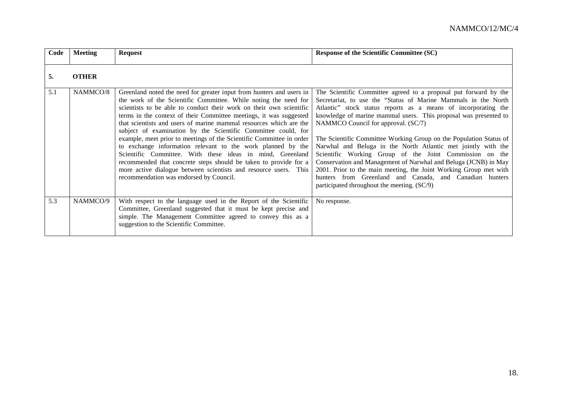| Code | <b>Meeting</b> | <b>Request</b>                                                                                                                                                                                                                                                                                                                                                                                                                                                                                                                                                                                                                                                                                                                                                                                                     | <b>Response of the Scientific Committee (SC)</b>                                                                                                                                                                                                                                                                                                                                                                                                                                                                                                                                                                                                                                                                                                                    |
|------|----------------|--------------------------------------------------------------------------------------------------------------------------------------------------------------------------------------------------------------------------------------------------------------------------------------------------------------------------------------------------------------------------------------------------------------------------------------------------------------------------------------------------------------------------------------------------------------------------------------------------------------------------------------------------------------------------------------------------------------------------------------------------------------------------------------------------------------------|---------------------------------------------------------------------------------------------------------------------------------------------------------------------------------------------------------------------------------------------------------------------------------------------------------------------------------------------------------------------------------------------------------------------------------------------------------------------------------------------------------------------------------------------------------------------------------------------------------------------------------------------------------------------------------------------------------------------------------------------------------------------|
| 5.   | <b>OTHER</b>   |                                                                                                                                                                                                                                                                                                                                                                                                                                                                                                                                                                                                                                                                                                                                                                                                                    |                                                                                                                                                                                                                                                                                                                                                                                                                                                                                                                                                                                                                                                                                                                                                                     |
| 5.1  | NAMMCO/8       | Greenland noted the need for greater input from hunters and users in<br>the work of the Scientific Committee. While noting the need for<br>scientists to be able to conduct their work on their own scientific<br>terms in the context of their Committee meetings, it was suggested<br>that scientists and users of marine mammal resources which are the<br>subject of examination by the Scientific Committee could, for<br>example, meet prior to meetings of the Scientific Committee in order<br>to exchange information relevant to the work planned by the<br>Scientific Committee. With these ideas in mind, Greenland<br>recommended that concrete steps should be taken to provide for a<br>more active dialogue between scientists and resource users. This<br>recommendation was endorsed by Council. | The Scientific Committee agreed to a proposal put forward by the<br>Secretariat, to use the "Status of Marine Mammals in the North<br>Atlantic" stock status reports as a means of incorporating the<br>knowledge of marine mammal users. This proposal was presented to<br>NAMMCO Council for approval. (SC/7)<br>The Scientific Committee Working Group on the Population Status of<br>Narwhal and Beluga in the North Atlantic met jointly with the<br>Scientific Working Group of the Joint Commission on the<br>Conservation and Management of Narwhal and Beluga (JCNB) in May<br>2001. Prior to the main meeting, the Joint Working Group met with<br>hunters from Greenland and Canada, and Canadian hunters<br>participated throughout the meeting. (SC/9) |
| 5.3  | NAMMCO/9       | With respect to the language used in the Report of the Scientific<br>Committee, Greenland suggested that it must be kept precise and<br>simple. The Management Committee agreed to convey this as a<br>suggestion to the Scientific Committee.                                                                                                                                                                                                                                                                                                                                                                                                                                                                                                                                                                     | No response.                                                                                                                                                                                                                                                                                                                                                                                                                                                                                                                                                                                                                                                                                                                                                        |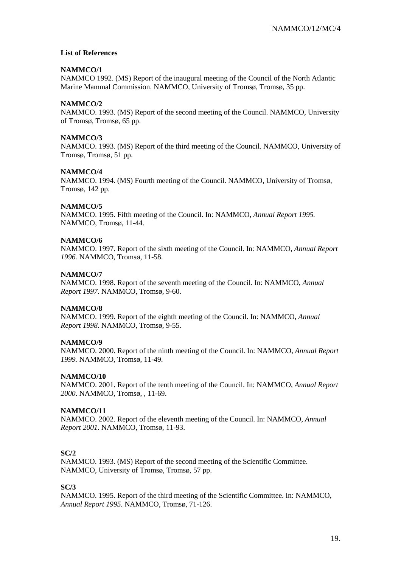#### **List of References**

#### **NAMMCO/1**

NAMMCO 1992. (MS) Report of the inaugural meeting of the Council of the North Atlantic Marine Mammal Commission. NAMMCO, University of Tromsø, Tromsø, 35 pp.

#### **NAMMCO/2**

NAMMCO. 1993. (MS) Report of the second meeting of the Council. NAMMCO, University of Tromsø, Tromsø, 65 pp.

#### **NAMMCO/3**

NAMMCO. 1993. (MS) Report of the third meeting of the Council. NAMMCO, University of Tromsø, Tromsø, 51 pp.

#### **NAMMCO/4**

NAMMCO. 1994. (MS) Fourth meeting of the Council. NAMMCO, University of Tromsø, Tromsø, 142 pp.

#### **NAMMCO/5**

NAMMCO. 1995. Fifth meeting of the Council. In: NAMMCO, *Annual Report 1995.* NAMMCO, Tromsø, 11-44.

#### **NAMMCO/6**

NAMMCO. 1997. Report of the sixth meeting of the Council. In: NAMMCO, *Annual Report 1996.* NAMMCO, Tromsø, 11-58.

#### **NAMMCO/7**

NAMMCO. 1998. Report of the seventh meeting of the Council. In: NAMMCO, *Annual Report 1997.* NAMMCO, Tromsø, 9-60.

#### **NAMMCO/8**

NAMMCO. 1999. Report of the eighth meeting of the Council. In: NAMMCO, *Annual Report 1998.* NAMMCO, Tromsø, 9-55.

#### **NAMMCO/9**

NAMMCO. 2000. Report of the ninth meeting of the Council. In: NAMMCO, *Annual Report 1999.* NAMMCO, Tromsø, 11-49.

#### **NAMMCO/10**

NAMMCO. 2001. Report of the tenth meeting of the Council. In: NAMMCO, *Annual Report 2000*. NAMMCO, Tromsø, , 11-69.

#### **NAMMCO/11**

NAMMCO. 2002. Report of the eleventh meeting of the Council. In: NAMMCO, *Annual Report 2001*. NAMMCO, Tromsø, 11-93.

#### **SC/2**

NAMMCO. 1993. (MS) Report of the second meeting of the Scientific Committee. NAMMCO, University of Tromsø, Tromsø, 57 pp.

**SC/3**

NAMMCO. 1995. Report of the third meeting of the Scientific Committee. In: NAMMCO, *Annual Report 1995.* NAMMCO, Tromsø, 71-126.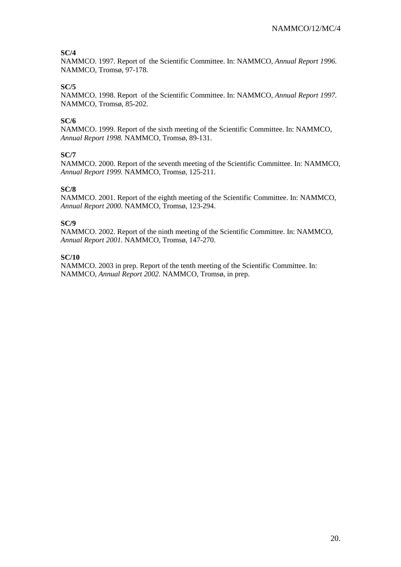## **SC/4**

NAMMCO. 1997. Report of the Scientific Committee. In: NAMMCO, *Annual Report 1996.* NAMMCO, Tromsø, 97-178.

## **SC/5**

NAMMCO. 1998. Report of the Scientific Committee. In: NAMMCO, *Annual Report 1997.* NAMMCO, Tromsø, 85-202.

## **SC/6**

NAMMCO. 1999. Report of the sixth meeting of the Scientific Committee. In: NAMMCO, *Annual Report 1998.* NAMMCO, Tromsø, 89-131.

## **SC/7**

NAMMCO. 2000. Report of the seventh meeting of the Scientific Committee. In: NAMMCO, *Annual Report 1999.* NAMMCO, Tromsø, 125-211.

## **SC/8**

NAMMCO. 2001. Report of the eighth meeting of the Scientific Committee. In: NAMMCO, *Annual Report 2000*. NAMMCO, Tromsø, 123-294.

#### **SC/9**

NAMMCO. 2002. Report of the ninth meeting of the Scientific Committee. In: NAMMCO, *Annual Report 2001*. NAMMCO, Tromsø, 147-270.

#### **SC/10**

NAMMCO. 2003 in prep. Report of the tenth meeting of the Scientific Committee. In: NAMMCO, *Annual Report 2002*. NAMMCO, Tromsø, in prep.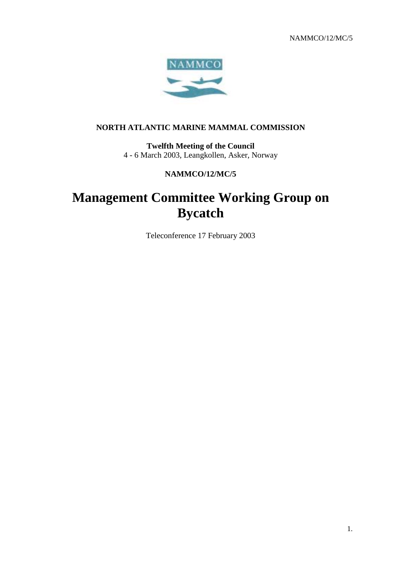NAMMCO/12/MC/5



## **NORTH ATLANTIC MARINE MAMMAL COMMISSION**

**Twelfth Meeting of the Council** 4 - 6 March 2003, Leangkollen, Asker, Norway

## **NAMMCO/12/MC/5**

# **Management Committee Working Group on Bycatch**

Teleconference 17 February 2003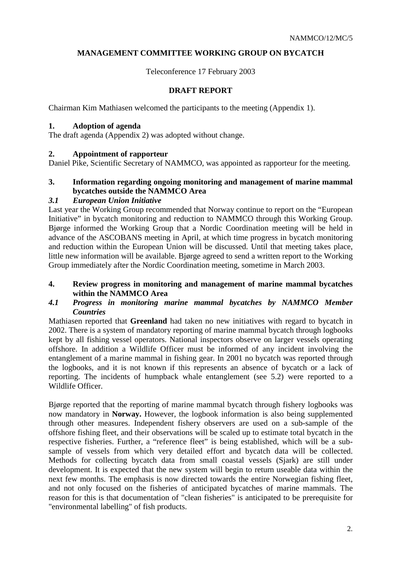## **MANAGEMENT COMMITTEE WORKING GROUP ON BYCATCH**

Teleconference 17 February 2003

## **DRAFT REPORT**

Chairman Kim Mathiasen welcomed the participants to the meeting (Appendix 1).

## **1. Adoption of agenda**

The draft agenda (Appendix 2) was adopted without change.

## **2. Appointment of rapporteur**

Daniel Pike, Scientific Secretary of NAMMCO, was appointed as rapporteur for the meeting.

## **3. Information regarding ongoing monitoring and management of marine mammal bycatches outside the NAMMCO Area**

## *3.1 European Union Initiative*

Last year the Working Group recommended that Norway continue to report on the "European Initiative" in bycatch monitoring and reduction to NAMMCO through this Working Group. Bjørge informed the Working Group that a Nordic Coordination meeting will be held in advance of the ASCOBANS meeting in April, at which time progress in bycatch monitoring and reduction within the European Union will be discussed. Until that meeting takes place, little new information will be available. Bjørge agreed to send a written report to the Working Group immediately after the Nordic Coordination meeting, sometime in March 2003.

#### **4. Review progress in monitoring and management of marine mammal bycatches within the NAMMCO Area**

## *4.1 Progress in monitoring marine mammal bycatches by NAMMCO Member Countries*

Mathiasen reported that **Greenland** had taken no new initiatives with regard to bycatch in 2002. There is a system of mandatory reporting of marine mammal bycatch through logbooks kept by all fishing vessel operators. National inspectors observe on larger vessels operating offshore. In addition a Wildlife Officer must be informed of any incident involving the entanglement of a marine mammal in fishing gear. In 2001 no bycatch was reported through the logbooks, and it is not known if this represents an absence of bycatch or a lack of reporting. The incidents of humpback whale entanglement (see 5.2) were reported to a Wildlife Officer.

Bjørge reported that the reporting of marine mammal bycatch through fishery logbooks was now mandatory in **Norway.** However, the logbook information is also being supplemented through other measures. Independent fishery observers are used on a sub-sample of the offshore fishing fleet, and their observations will be scaled up to estimate total bycatch in the respective fisheries. Further, a "reference fleet" is being established, which will be a subsample of vessels from which very detailed effort and bycatch data will be collected. Methods for collecting bycatch data from small coastal vessels (Sjark) are still under development. It is expected that the new system will begin to return useable data within the next few months. The emphasis is now directed towards the entire Norwegian fishing fleet, and not only focused on the fisheries of anticipated bycatches of marine mammals. The reason for this is that documentation of "clean fisheries" is anticipated to be prerequisite for "environmental labelling" of fish products.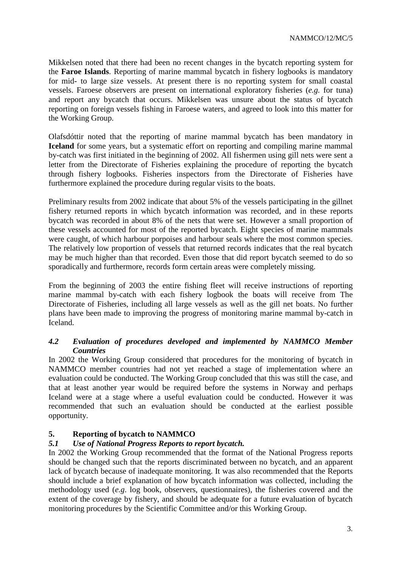Mikkelsen noted that there had been no recent changes in the bycatch reporting system for the **Faroe Islands**. Reporting of marine mammal bycatch in fishery logbooks is mandatory for mid- to large size vessels. At present there is no reporting system for small coastal vessels. Faroese observers are present on international exploratory fisheries (*e.g.* for tuna) and report any bycatch that occurs. Mikkelsen was unsure about the status of bycatch reporting on foreign vessels fishing in Faroese waters, and agreed to look into this matter for the Working Group.

Olafsdóttir noted that the reporting of marine mammal bycatch has been mandatory in **Iceland** for some years, but a systematic effort on reporting and compiling marine mammal by-catch was first initiated in the beginning of 2002. All fishermen using gill nets were sent a letter from the Directorate of Fisheries explaining the procedure of reporting the bycatch through fishery logbooks. Fisheries inspectors from the Directorate of Fisheries have furthermore explained the procedure during regular visits to the boats.

Preliminary results from 2002 indicate that about 5% of the vessels participating in the gillnet fishery returned reports in which bycatch information was recorded, and in these reports bycatch was recorded in about 8% of the nets that were set. However a small proportion of these vessels accounted for most of the reported bycatch. Eight species of marine mammals were caught, of which harbour porpoises and harbour seals where the most common species. The relatively low proportion of vessels that returned records indicates that the real bycatch may be much higher than that recorded. Even those that did report bycatch seemed to do so sporadically and furthermore, records form certain areas were completely missing.

From the beginning of 2003 the entire fishing fleet will receive instructions of reporting marine mammal by-catch with each fishery logbook the boats will receive from The Directorate of Fisheries, including all large vessels as well as the gill net boats. No further plans have been made to improving the progress of monitoring marine mammal by-catch in Iceland.

## *4.2 Evaluation of procedures developed and implemented by NAMMCO Member Countries*

In 2002 the Working Group considered that procedures for the monitoring of bycatch in NAMMCO member countries had not yet reached a stage of implementation where an evaluation could be conducted. The Working Group concluded that this was still the case, and that at least another year would be required before the systems in Norway and perhaps Iceland were at a stage where a useful evaluation could be conducted. However it was recommended that such an evaluation should be conducted at the earliest possible opportunity.

## **5. Reporting of bycatch to NAMMCO**

## *5.1 Use of National Progress Reports to report bycatch.*

In 2002 the Working Group recommended that the format of the National Progress reports should be changed such that the reports discriminated between no bycatch, and an apparent lack of bycatch because of inadequate monitoring. It was also recommended that the Reports should include a brief explanation of how bycatch information was collected, including the methodology used (*e.g*. log book, observers, questionnaires), the fisheries covered and the extent of the coverage by fishery, and should be adequate for a future evaluation of bycatch monitoring procedures by the Scientific Committee and/or this Working Group.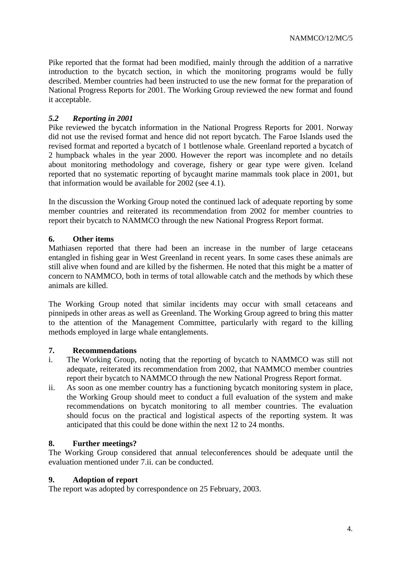Pike reported that the format had been modified, mainly through the addition of a narrative introduction to the bycatch section, in which the monitoring programs would be fully described. Member countries had been instructed to use the new format for the preparation of National Progress Reports for 2001. The Working Group reviewed the new format and found it acceptable.

## *5.2 Reporting in 2001*

Pike reviewed the bycatch information in the National Progress Reports for 2001. Norway did not use the revised format and hence did not report bycatch. The Faroe Islands used the revised format and reported a bycatch of 1 bottlenose whale. Greenland reported a bycatch of 2 humpback whales in the year 2000. However the report was incomplete and no details about monitoring methodology and coverage, fishery or gear type were given. Iceland reported that no systematic reporting of bycaught marine mammals took place in 2001, but that information would be available for 2002 (see 4.1).

In the discussion the Working Group noted the continued lack of adequate reporting by some member countries and reiterated its recommendation from 2002 for member countries to report their bycatch to NAMMCO through the new National Progress Report format.

## **6. Other items**

Mathiasen reported that there had been an increase in the number of large cetaceans entangled in fishing gear in West Greenland in recent years. In some cases these animals are still alive when found and are killed by the fishermen. He noted that this might be a matter of concern to NAMMCO, both in terms of total allowable catch and the methods by which these animals are killed.

The Working Group noted that similar incidents may occur with small cetaceans and pinnipeds in other areas as well as Greenland. The Working Group agreed to bring this matter to the attention of the Management Committee, particularly with regard to the killing methods employed in large whale entanglements.

## **7. Recommendations**

- i. The Working Group, noting that the reporting of bycatch to NAMMCO was still not adequate, reiterated its recommendation from 2002, that NAMMCO member countries report their bycatch to NAMMCO through the new National Progress Report format.
- ii. As soon as one member country has a functioning bycatch monitoring system in place, the Working Group should meet to conduct a full evaluation of the system and make recommendations on bycatch monitoring to all member countries. The evaluation should focus on the practical and logistical aspects of the reporting system. It was anticipated that this could be done within the next 12 to 24 months.

## **8. Further meetings?**

The Working Group considered that annual teleconferences should be adequate until the evaluation mentioned under 7.ii. can be conducted.

#### **9. Adoption of report**

The report was adopted by correspondence on 25 February, 2003.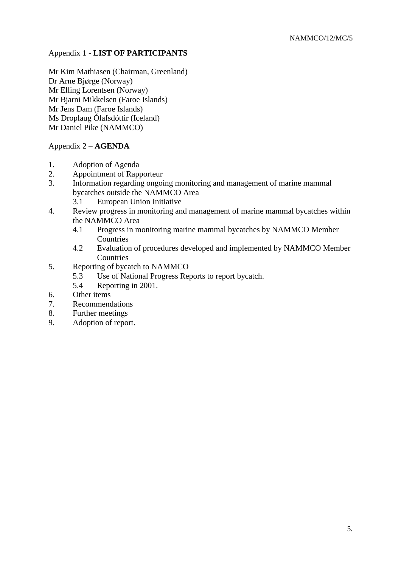## Appendix 1 - **LIST OF PARTICIPANTS**

Mr Kim Mathiasen (Chairman, Greenland) Dr Arne Bjørge (Norway) Mr Elling Lorentsen (Norway) Mr Bjarni Mikkelsen (Faroe Islands) Mr Jens Dam (Faroe Islands) Ms Droplaug Ólafsdóttir (Iceland) Mr Daniel Pike (NAMMCO)

## Appendix 2 – **AGENDA**

- 1. Adoption of Agenda
- 2. Appointment of Rapporteur
- 3. Information regarding ongoing monitoring and management of marine mammal bycatches outside the NAMMCO Area
	- 3.1 European Union Initiative
- 4. Review progress in monitoring and management of marine mammal bycatches within the NAMMCO Area
	- 4.1 Progress in monitoring marine mammal bycatches by NAMMCO Member Countries
	- 4.2 Evaluation of procedures developed and implemented by NAMMCO Member **Countries**
- 5. Reporting of bycatch to NAMMCO
	- 5.3 Use of National Progress Reports to report bycatch.
	- 5.4 Reporting in 2001.
- 6. Other items
- 7. Recommendations
- 8. Further meetings
- 9. Adoption of report.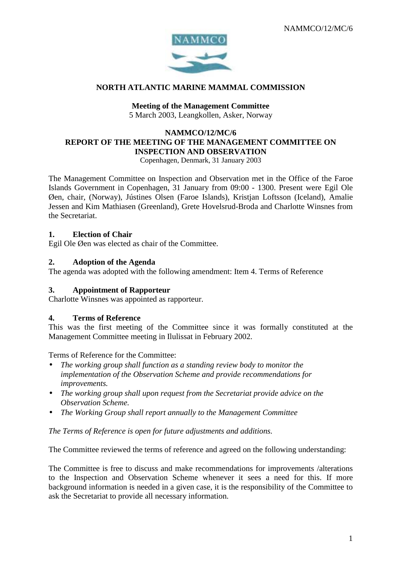

## **NORTH ATLANTIC MARINE MAMMAL COMMISSION**

## **Meeting of the Management Committee**

5 March 2003, Leangkollen, Asker, Norway

## **NAMMCO/12/MC/6 REPORT OF THE MEETING OF THE MANAGEMENT COMMITTEE ON INSPECTION AND OBSERVATION**

Copenhagen, Denmark, 31 January 2003

The Management Committee on Inspection and Observation met in the Office of the Faroe Islands Government in Copenhagen, 31 January from 09:00 - 1300. Present were Egil Ole Øen, chair, (Norway), Jústines Olsen (Faroe Islands), Kristjan Loftsson (Iceland), Amalie Jessen and Kim Mathiasen (Greenland), Grete Hovelsrud-Broda and Charlotte Winsnes from the Secretariat.

## **1. Election of Chair**

Egil Ole Øen was elected as chair of the Committee.

## **2. Adoption of the Agenda**

The agenda was adopted with the following amendment: Item 4. Terms of Reference

## **3. Appointment of Rapporteur**

Charlotte Winsnes was appointed as rapporteur.

## **4. Terms of Reference**

This was the first meeting of the Committee since it was formally constituted at the Management Committee meeting in Ilulissat in February 2002.

Terms of Reference for the Committee:

- *The working group shall function as a standing review body to monitor the implementation of the Observation Scheme and provide recommendations for improvements.*
- *The working group shall upon request from the Secretariat provide advice on the Observation Scheme.*
- *The Working Group shall report annually to the Management Committee*

*The Terms of Reference is open for future adjustments and additions.*

The Committee reviewed the terms of reference and agreed on the following understanding:

The Committee is free to discuss and make recommendations for improvements /alterations to the Inspection and Observation Scheme whenever it sees a need for this. If more background information is needed in a given case, it is the responsibility of the Committee to ask the Secretariat to provide all necessary information.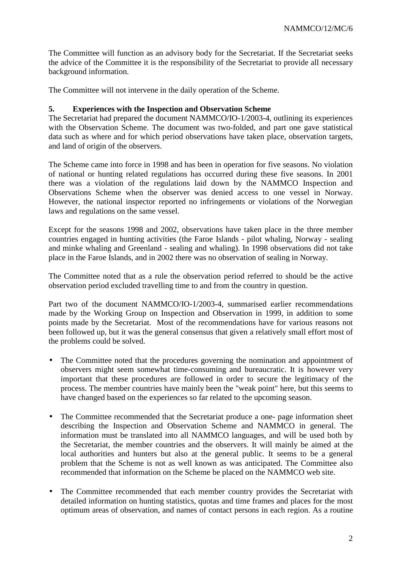The Committee will function as an advisory body for the Secretariat. If the Secretariat seeks the advice of the Committee it is the responsibility of the Secretariat to provide all necessary background information.

The Committee will not intervene in the daily operation of the Scheme.

## **5. Experiences with the Inspection and Observation Scheme**

The Secretariat had prepared the document NAMMCO/IO-1/2003-4, outlining its experiences with the Observation Scheme. The document was two-folded, and part one gave statistical data such as where and for which period observations have taken place, observation targets, and land of origin of the observers.

The Scheme came into force in 1998 and has been in operation for five seasons. No violation of national or hunting related regulations has occurred during these five seasons. In 2001 there was a violation of the regulations laid down by the NAMMCO Inspection and Observations Scheme when the observer was denied access to one vessel in Norway. However, the national inspector reported no infringements or violations of the Norwegian laws and regulations on the same vessel.

Except for the seasons 1998 and 2002, observations have taken place in the three member countries engaged in hunting activities (the Faroe Islands - pilot whaling, Norway - sealing and minke whaling and Greenland - sealing and whaling). In 1998 observations did not take place in the Faroe Islands, and in 2002 there was no observation of sealing in Norway.

The Committee noted that as a rule the observation period referred to should be the active observation period excluded travelling time to and from the country in question.

Part two of the document NAMMCO/IO-1/2003-4, summarised earlier recommendations made by the Working Group on Inspection and Observation in 1999, in addition to some points made by the Secretariat. Most of the recommendations have for various reasons not been followed up, but it was the general consensus that given a relatively small effort most of the problems could be solved.

- The Committee noted that the procedures governing the nomination and appointment of observers might seem somewhat time-consuming and bureaucratic. It is however very important that these procedures are followed in order to secure the legitimacy of the process. The member countries have mainly been the "weak point" here, but this seems to have changed based on the experiences so far related to the upcoming season.
- The Committee recommended that the Secretariat produce a one- page information sheet describing the Inspection and Observation Scheme and NAMMCO in general. The information must be translated into all NAMMCO languages, and will be used both by the Secretariat, the member countries and the observers. It will mainly be aimed at the local authorities and hunters but also at the general public. It seems to be a general problem that the Scheme is not as well known as was anticipated. The Committee also recommended that information on the Scheme be placed on the NAMMCO web site.
- The Committee recommended that each member country provides the Secretariat with detailed information on hunting statistics, quotas and time frames and places for the most optimum areas of observation, and names of contact persons in each region. As a routine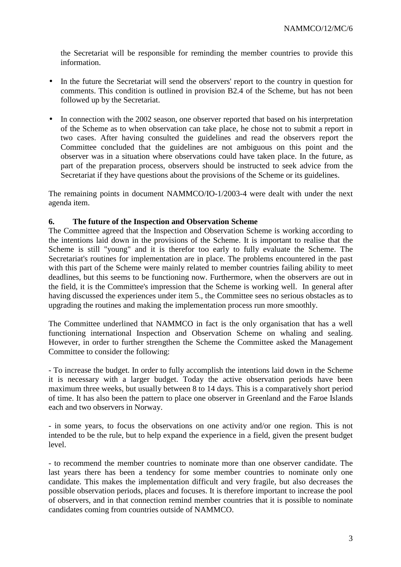the Secretariat will be responsible for reminding the member countries to provide this information.

- In the future the Secretariat will send the observers' report to the country in question for comments. This condition is outlined in provision B2.4 of the Scheme, but has not been followed up by the Secretariat.
- In connection with the 2002 season, one observer reported that based on his interpretation of the Scheme as to when observation can take place, he chose not to submit a report in two cases. After having consulted the guidelines and read the observers report the Committee concluded that the guidelines are not ambiguous on this point and the observer was in a situation where observations could have taken place. In the future, as part of the preparation process, observers should be instructed to seek advice from the Secretariat if they have questions about the provisions of the Scheme or its guidelines.

The remaining points in document NAMMCO/IO-1/2003-4 were dealt with under the next agenda item.

## **6. The future of the Inspection and Observation Scheme**

The Committee agreed that the Inspection and Observation Scheme is working according to the intentions laid down in the provisions of the Scheme. It is important to realise that the Scheme is still "young" and it is therefor too early to fully evaluate the Scheme. The Secretariat's routines for implementation are in place. The problems encountered in the past with this part of the Scheme were mainly related to member countries failing ability to meet deadlines, but this seems to be functioning now. Furthermore, when the observers are out in the field, it is the Committee's impression that the Scheme is working well. In general after having discussed the experiences under item 5., the Committee sees no serious obstacles as to upgrading the routines and making the implementation process run more smoothly.

The Committee underlined that NAMMCO in fact is the only organisation that has a well functioning international Inspection and Observation Scheme on whaling and sealing. However, in order to further strengthen the Scheme the Committee asked the Management Committee to consider the following:

- To increase the budget. In order to fully accomplish the intentions laid down in the Scheme it is necessary with a larger budget. Today the active observation periods have been maximum three weeks, but usually between 8 to 14 days. This is a comparatively short period of time. It has also been the pattern to place one observer in Greenland and the Faroe Islands each and two observers in Norway.

- in some years, to focus the observations on one activity and/or one region. This is not intended to be the rule, but to help expand the experience in a field, given the present budget level.

- to recommend the member countries to nominate more than one observer candidate. The last years there has been a tendency for some member countries to nominate only one candidate. This makes the implementation difficult and very fragile, but also decreases the possible observation periods, places and focuses. It is therefore important to increase the pool of observers, and in that connection remind member countries that it is possible to nominate candidates coming from countries outside of NAMMCO.